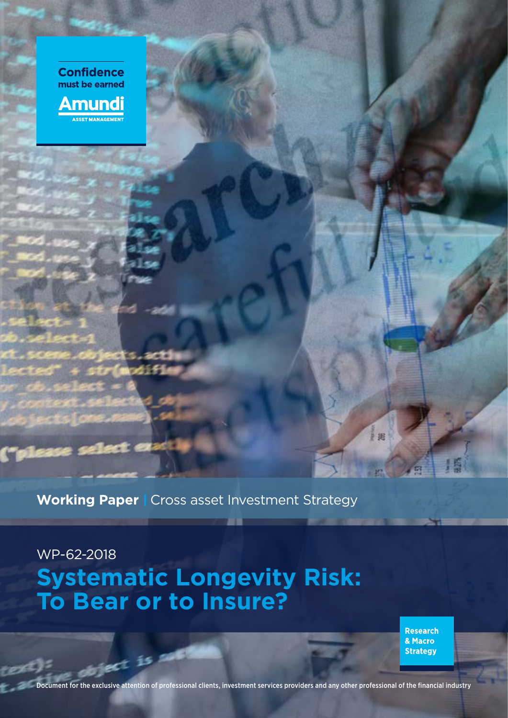

**Working Paper | Cross asset Investment Strategy** 

# WP-62-2018 **Systematic Longevity Risk: To Bear or to Insure?**

**Research** & Macro **Strategy** 

1 18

Document for the exclusive attention of professional clients, investment services providers and any other professional of the financial industry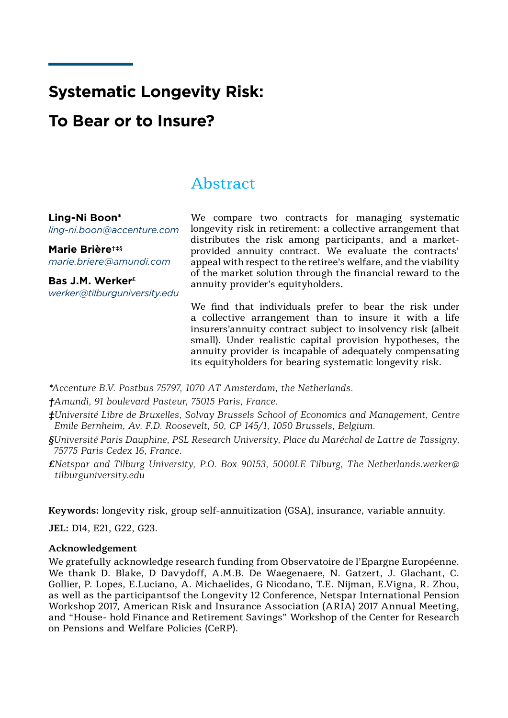# **Systematic Longevity Risk:**

# **To Bear or to Insure?**

# **Abstract**

# **Ling-Ni Boon\***

*ling-ni.boon@accenture.com*

**Marie Brière†‡§** *marie.briere@amundi.com*

**Bas J.M. Werker£** *werker@tilburguniversity.edu*

We compare two contracts for managing systematic longevity risk in retirement: a collective arrangement that distributes the risk among participants, and a marketprovided annuity contract. We evaluate the contracts' appeal with respect to the retiree's welfare, and the viability of the market solution through the financial reward to the annuity provider's equityholders.

We find that individuals prefer to bear the risk under a collective arrangement than to insure it with a life insurers'annuity contract subject to insolvency risk (albeit small). Under realistic capital provision hypotheses, the annuity provider is incapable of adequately compensating its equityholders for bearing systematic longevity risk.

*\*Accenture B.V. Postbus 75797, 1070 AT Amsterdam, the Netherlands.*

*†Amundi, 91 boulevard Pasteur, 75015 Paris, France.*

- *‡Université Libre de Bruxelles, Solvay Brussels School of Economics and Management, Centre Emile Bernheim, Av. F.D. Roosevelt, 50, CP 145/1, 1050 Brussels, Belgium.*
- *§Université Paris Dauphine, PSL Research University, Place du Maréchal de Lattre de Tassigny, 75775 Paris Cedex 16, France.*
- *£Netspar and Tilburg University, P.O. Box 90153, 5000LE Tilburg, The Netherlands.werker@ tilburguniversity.edu*

**Keywords:** longevity risk, group self-annuitization (GSA), insurance, variable annuity.

**JEL:** D14, E21, G22, G23.

### **Acknowledgement**

We gratefully acknowledge research funding from Observatoire de l'Epargne Européenne. We thank D. Blake, D Davydoff, A.M.B. De Waegenaere, N. Gatzert, J. Glachant, C. Gollier, P. Lopes, E.Luciano, A. Michaelides, G Nicodano, T.E. Nijman, E.Vigna, R. Zhou, as well as the participantsof the Longevity 12 Conference, Netspar International Pension Workshop 2017, American Risk and Insurance Association (ARIA) 2017 Annual Meeting, and "House- hold Finance and Retirement Savings" Workshop of the Center for Research on Pensions and Welfare Policies (CeRP).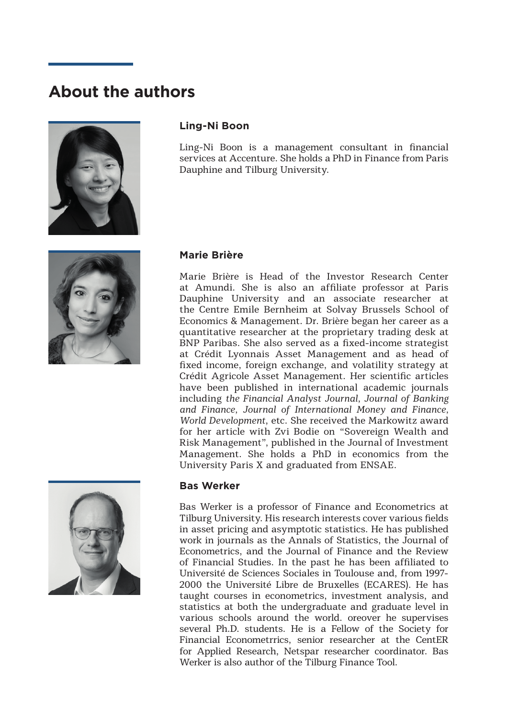# **About the authors**





Ling-Ni Boon is a management consultant in financial services at Accenture. She holds a PhD in Finance from Paris Dauphine and Tilburg University.



## **Marie Brière**

Marie Brière is Head of the Investor Research Center at Amundi. She is also an affiliate professor at Paris Dauphine University and an associate researcher at the Centre Emile Bernheim at Solvay Brussels School of Economics & Management. Dr. Brière began her career as a quantitative researcher at the proprietary trading desk at BNP Paribas. She also served as a fixed-income strategist at Crédit Lyonnais Asset Management and as head of fixed income, foreign exchange, and volatility strategy at Crédit Agricole Asset Management. Her scientific articles have been published in international academic journals including *the Financial Analyst Journal, Journal of Banking and Finance, Journal of International Money and Finance, World Development*, etc. She received the Markowitz award for her article with Zvi Bodie on "Sovereign Wealth and Risk Management", published in the Journal of Investment Management. She holds a PhD in economics from the University Paris X and graduated from ENSAE.



## **Bas Werker**

Bas Werker is a professor of Finance and Econometrics at Tilburg University. His research interests cover various fields in asset pricing and asymptotic statistics. He has published work in journals as the Annals of Statistics, the Journal of Econometrics, and the Journal of Finance and the Review of Financial Studies. In the past he has been affiliated to Université de Sciences Sociales in Toulouse and, from 1997- 2000 the Université Libre de Bruxelles (ECARES). He has taught courses in econometrics, investment analysis, and statistics at both the undergraduate and graduate level in various schools around the world. oreover he supervises several Ph.D. students. He is a Fellow of the Society for Financial Econometrrics, senior researcher at the CentER for Applied Research, Netspar researcher coordinator. Bas Werker is also author of the Tilburg Finance Tool.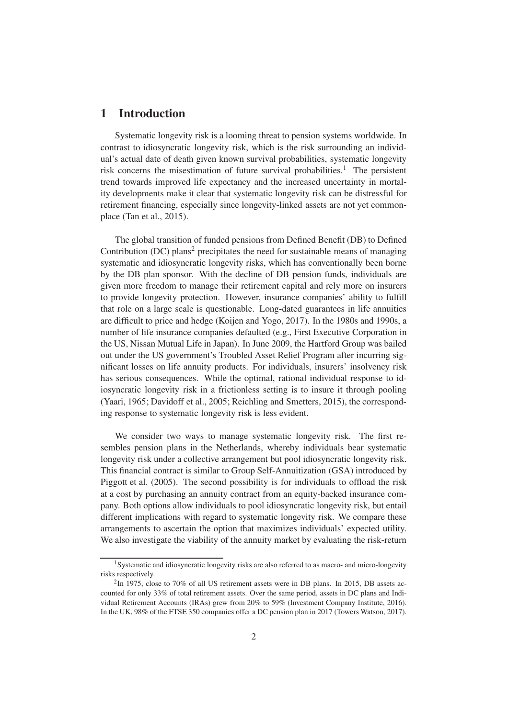# 1 Introduction

Systematic longevity risk is a looming threat to pension systems worldwide. In contrast to idiosyncratic longevity risk, which is the risk surrounding an individual's actual date of death given known survival probabilities, systematic longevity risk concerns the misestimation of future survival probabilities.<sup>1</sup> The persistent trend towards improved life expectancy and the increased uncertainty in mortality developments make it clear that systematic longevity risk can be distressful for retirement financing, especially since longevity-linked assets are not yet commonplace [\(Tan et al.](#page-42-0), [2015](#page-42-0)).

The global transition of funded pensions from Defined Benefit (DB) to Defined Contribution (DC) plans<sup>2</sup> precipitates the need for sustainable means of managing systematic and idiosyncratic longevity risks, which has conventionally been borne by the DB plan sponsor. With the decline of DB pension funds, individuals are given more freedom to manage their retirement capital and rely more on insurers to provide longevity protection. However, insurance companies' ability to fulfill that role on a large scale is questionable. Long-dated guarantees in life annuities are difficult to price and hedge [\(Koijen and Yogo](#page-40-0), [2017](#page-40-0)). In the 1980s and 1990s, a number of life insurance companies defaulted (e.g., First Executive Corporation in the US, Nissan Mutual Life in Japan). In June 2009, the Hartford Group was bailed out under the US government's Troubled Asset Relief Program after incurring significant losses on life annuity products. For individuals, insurers' insolvency risk has serious consequences. While the optimal, rational individual response to idiosyncratic longevity risk in a frictionless setting is to insure it through pooling [\(Yaari](#page-42-1), [1965](#page-42-1); [Davidoff et al.](#page-38-0), [2005](#page-38-0); [Reichling and Smetters](#page-41-0), [2015](#page-41-0)), the corresponding response to systematic longevity risk is less evident.

We consider two ways to manage systematic longevity risk. The first resembles pension plans in the Netherlands, whereby individuals bear systematic longevity risk under a collective arrangement but pool idiosyncratic longevity risk. This financial contract is similar to Group Self-Annuitization (GSA) introduced by [Piggott et al. \(2005](#page-41-1)). The second possibility is for individuals to offload the risk at a cost by purchasing an annuity contract from an equity-backed insurance company. Both options allow individuals to pool idiosyncratic longevity risk, but entail different implications with regard to systematic longevity risk. We compare these arrangements to ascertain the option that maximizes individuals' expected utility. We also investigate the viability of the annuity market by evaluating the risk-return

<sup>&</sup>lt;sup>1</sup>Systematic and idiosyncratic longevity risks are also referred to as macro- and micro-longevity risks respectively.

 $2$ In 1975, close to 70% of all US retirement assets were in DB plans. In 2015, DB assets accounted for only 33% of total retirement assets. Over the same period, assets in DC plans and Individual Retirement Accounts (IRAs) grew from 20% to 59% (Investment Company Institute, 2016). In the UK, 98% of the FTSE 350 companies offer a DC pension plan in 2017 (Towers Watson, 2017).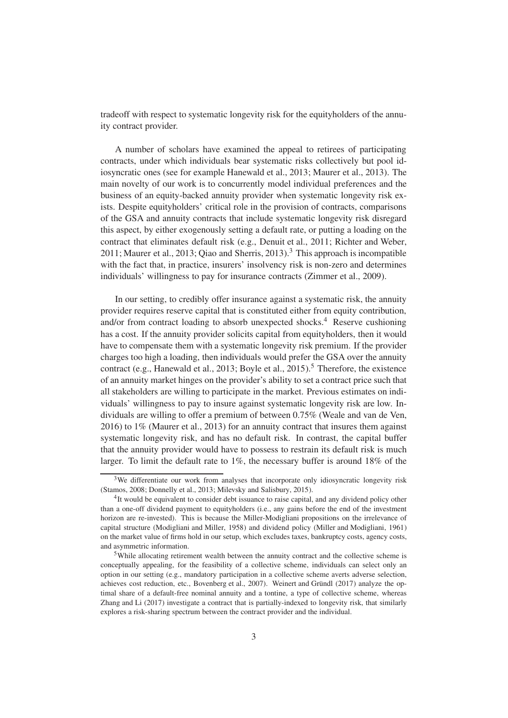tradeoff with respect to systematic longevity risk for the equityholders of the annuity contract provider.

A number of scholars have examined the appeal to retirees of participating contracts, under which individuals bear systematic risks collectively but pool idiosyncratic ones (see for example [Hanewald et al., 2013;](#page-39-0) [Maurer et al., 2013\)](#page-40-1). The main novelty of our work is to concurrently model individual preferences and the business of an equity-backed annuity provider when systematic longevity risk exists. Despite equityholders' critical role in the provision of contracts, comparisons of the GSA and annuity contracts that include systematic longevity risk disregard this aspect, by either exogenously setting a default rate, or putting a loading on the contract that eliminates default risk (e.g., [Denuit et al.,](#page-38-1) [2011](#page-38-1); [Richter and Weber,](#page-41-2)  $2011$ ; Maurer et al.,  $2013$ ; Qiao and Sherris,  $2013$ ).<sup>3</sup> This approach is incompatible with the fact that, in practice, insurers' insolvency risk is non-zero and determines individuals' willingness to pay for insurance contracts [\(Zimmer et al.](#page-43-0), [2009](#page-43-0)).

In our setting, to credibly offer insurance against a systematic risk, the annuity provider requires reserve capital that is constituted either from equity contribution, and/or from contract loading to absorb unexpected shocks.<sup>4</sup> Reserve cushioning has a cost. If the annuity provider solicits capital from equityholders, then it would have to compensate them with a systematic longevity risk premium. If the provider charges too high a loading, then individuals would prefer the GSA over the annuity contract (e.g., [Hanewald et al.](#page-39-0), [2013](#page-39-0); [Boyle et al.](#page-38-2), [2015](#page-38-2)).<sup>5</sup> Therefore, the existence of an annuity market hinges on the provider's ability to set a contract price such that all stakeholders are willing to participate in the market. Previous estimates on individuals' willingness to pay to insure against systematic longevity risk are low. Individuals are willing to offer a premium of between 0.75% [\(Weale and van de Ven,](#page-42-2) [2016](#page-42-2)) to 1% [\(Maurer et al., 2013](#page-40-1)) for an annuity contract that insures them against systematic longevity risk, and has no default risk. In contrast, the capital buffer that the annuity provider would have to possess to restrain its default risk is much larger. To limit the default rate to 1%, the necessary buffer is around 18% of the

<sup>&</sup>lt;sup>3</sup>We differentiate our work from analyses that incorporate only idiosyncratic longevity risk [\(Stamos](#page-42-3), [2008](#page-42-3); [Donnelly et al.](#page-38-3), [2013;](#page-38-3) [Milevsky and Salisbury](#page-41-4), [2015](#page-41-4)).

<sup>&</sup>lt;sup>4</sup>It would be equivalent to consider debt issuance to raise capital, and any dividend policy other than a one-off dividend payment to equityholders (i.e., any gains before the end of the investment horizon are re-invested). This is because the Miller-Modigliani propositions on the irrelevance of capital structure [\(Modigliani and Miller](#page-41-5), [1958](#page-41-5)) and dividend policy [\(Miller and Modigliani](#page-41-6), [1961](#page-41-6)) on the market value of firms hold in our setup, which excludes taxes, bankruptcy costs, agency costs, and asymmetric information.

<sup>5</sup>While allocating retirement wealth between the annuity contract and the collective scheme is conceptually appealing, for the feasibility of a collective scheme, individuals can select only an option in our setting (e.g., mandatory participation in a collective scheme averts adverse selection, achieves cost reduction, etc., [Bovenberg et al.](#page-37-0), [2007](#page-37-0)). [Weinert and Gründl \(2017](#page-42-4)) analyze the optimal share of a default-free nominal annuity and a tontine, a type of collective scheme, whereas [Zhang and Li \(2017\)](#page-43-1) investigate a contract that is partially-indexed to longevity risk, that similarly explores a risk-sharing spectrum between the contract provider and the individual.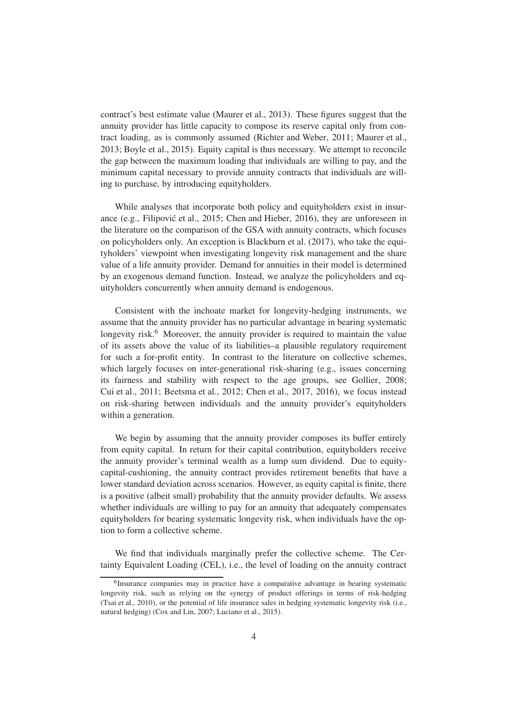contract's best estimate value [\(Maurer et al., 2013](#page-40-1)). These figures suggest that the annuity provider has little capacity to compose its reserve capital only from contract loading, as is commonly assumed [\(Richter and Weber](#page-41-2), [2011;](#page-41-2) [Maurer et al.,](#page-40-1) [2013](#page-40-1); [Boyle et al.](#page-38-2), [2015](#page-38-2)). Equity capital is thus necessary. We attempt to reconcile the gap between the maximum loading that individuals are willing to pay, and the minimum capital necessary to provide annuity contracts that individuals are willing to purchase, by introducing equityholders.

While analyses that incorporate both policy and equityholders exist in insur-ance (e.g., Filipović et al., [2015](#page-39-1); [Chen and Hieber](#page-38-4), [2016](#page-38-4)), they are unforeseen in the literature on the comparison of the GSA with annuity contracts, which focuses on policyholders only. An exception is [Blackburn et al.](#page-37-1) [\(2017](#page-37-1)), who take the equityholders' viewpoint when investigating longevity risk management and the share value of a life annuity provider. Demand for annuities in their model is determined by an exogenous demand function. Instead, we analyze the policyholders and equityholders concurrently when annuity demand is endogenous.

Consistent with the inchoate market for longevity-hedging instruments, we assume that the annuity provider has no particular advantage in bearing systematic longevity risk.<sup>6</sup> Moreover, the annuity provider is required to maintain the value of its assets above the value of its liabilities–a plausible regulatory requirement for such a for-profit entity. In contrast to the literature on collective schemes, which largely focuses on inter-generational risk-sharing (e.g., issues concerning its fairness and stability with respect to the age groups, see [Gollier](#page-39-2), [2008](#page-39-2); [Cui et al.](#page-38-5), [2011](#page-38-5); [Beetsma et al., 2012](#page-37-2); [Chen et al., 2017](#page-38-6), [2016\)](#page-38-7), we focus instead on risk-sharing between individuals and the annuity provider's equityholders within a generation.

We begin by assuming that the annuity provider composes its buffer entirely from equity capital. In return for their capital contribution, equityholders receive the annuity provider's terminal wealth as a lump sum dividend. Due to equitycapital-cushioning, the annuity contract provides retirement benefits that have a lower standard deviation across scenarios. However, as equity capital is finite, there is a positive (albeit small) probability that the annuity provider defaults. We assess whether individuals are willing to pay for an annuity that adequately compensates equityholders for bearing systematic longevity risk, when individuals have the option to form a collective scheme.

We find that individuals marginally prefer the collective scheme. The Certainty Equivalent Loading (CEL), i.e., the level of loading on the annuity contract

<sup>&</sup>lt;sup>6</sup>Insurance companies may in practice have a comparative advantage in bearing systematic longevity risk, such as relying on the synergy of product offerings in terms of risk-hedging [\(Tsai et al., 2010\)](#page-42-5), or the potential of life insurance sales in hedging systematic longevity risk (i.e., natural hedging) [\(Cox and Lin, 2007](#page-38-8); [Luciano et al.](#page-40-2), [2015](#page-40-2)).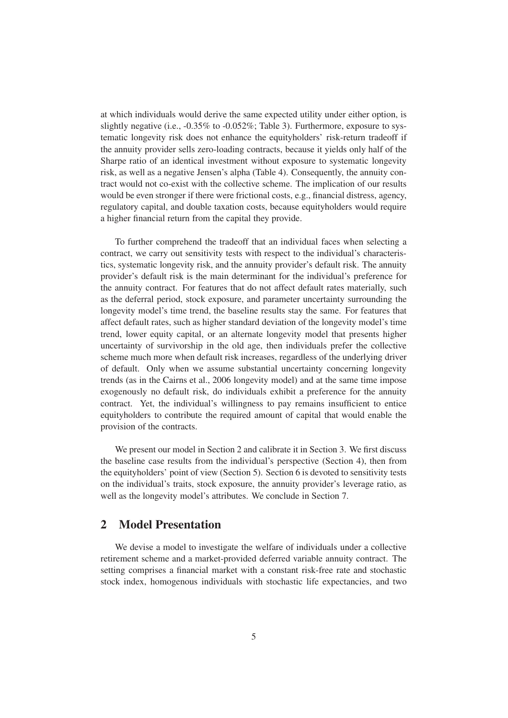at which individuals would derive the same expected utility under either option, is slightly negative (i.e., -0.35% to -0.052%; Table [3\)](#page-23-0). Furthermore, exposure to systematic longevity risk does not enhance the equityholders' risk-return tradeoff if the annuity provider sells zero-loading contracts, because it yields only half of the Sharpe ratio of an identical investment without exposure to systematic longevity risk, as well as a negative Jensen's alpha (Table [4\)](#page-26-0). Consequently, the annuity contract would not co-exist with the collective scheme. The implication of our results would be even stronger if there were frictional costs, e.g., financial distress, agency, regulatory capital, and double taxation costs, because equityholders would require a higher financial return from the capital they provide.

To further comprehend the tradeoff that an individual faces when selecting a contract, we carry out sensitivity tests with respect to the individual's characteristics, systematic longevity risk, and the annuity provider's default risk. The annuity provider's default risk is the main determinant for the individual's preference for the annuity contract. For features that do not affect default rates materially, such as the deferral period, stock exposure, and parameter uncertainty surrounding the longevity model's time trend, the baseline results stay the same. For features that affect default rates, such as higher standard deviation of the longevity model's time trend, lower equity capital, or an alternate longevity model that presents higher uncertainty of survivorship in the old age, then individuals prefer the collective scheme much more when default risk increases, regardless of the underlying driver of default. Only when we assume substantial uncertainty concerning longevity trends (as in the [Cairns et al.](#page-38-9), [2006](#page-38-9) longevity model) and at the same time impose exogenously no default risk, do individuals exhibit a preference for the annuity contract. Yet, the individual's willingness to pay remains insufficient to entice equityholders to contribute the required amount of capital that would enable the provision of the contracts.

We present our model in Section [2](#page-8-0) and calibrate it in Section [3.](#page-14-0) We first discuss the baseline case results from the individual's perspective (Section [4\)](#page-21-0), then from the equityholders' point of view (Section [5\)](#page-23-1). Section [6](#page-26-1) is devoted to sensitivity tests on the individual's traits, stock exposure, the annuity provider's leverage ratio, as well as the longevity model's attributes. We conclude in Section [7.](#page-35-0)

# <span id="page-8-0"></span>2 Model Presentation

We devise a model to investigate the welfare of individuals under a collective retirement scheme and a market-provided deferred variable annuity contract. The setting comprises a financial market with a constant risk-free rate and stochastic stock index, homogenous individuals with stochastic life expectancies, and two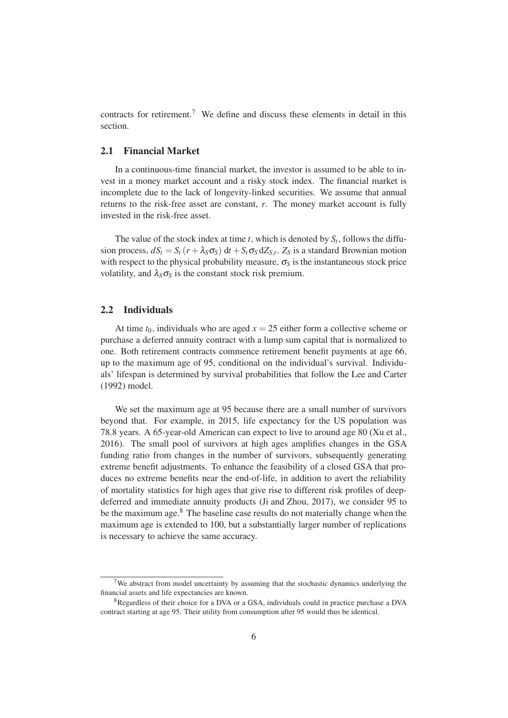contracts for retirement.<sup>7</sup> We define and discuss these elements in detail in this section.

#### <span id="page-9-0"></span>2.1 Financial Market

In a continuous-time financial market, the investor is assumed to be able to invest in a money market account and a risky stock index. The financial market is incomplete due to the lack of longevity-linked securities. We assume that annual returns to the risk-free asset are constant, *r*. The money market account is fully invested in the risk-free asset.

The value of the stock index at time  $t$ , which is denoted by  $S_t$ , follows the diffusion process,  $dS_t = S_t (r + \lambda_S \sigma_S) dt + S_t \sigma_S dZ_{S,t}$ .  $Z_S$  is a standard Brownian motion with respect to the physical probability measure,  $\sigma_S$  is the instantaneous stock price volatility, and  $\lambda_S \sigma_S$  is the constant stock risk premium.

#### 2.2 Individuals

At time  $t_0$ , individuals who are aged  $x = 25$  either form a collective scheme or purchase a deferred annuity contract with a lump sum capital that is normalized to one. Both retirement contracts commence retirement benefit payments at age 66, up to the maximum age of 95, conditional on the individual's survival. Individuals' lifespan is determined by survival probabilities that follow the [Lee and Carter](#page-40-3) [\(1992](#page-40-3)) model.

We set the maximum age at 95 because there are a small number of survivors beyond that. For example, in 2015, life expectancy for the US population was 78.8 years. A 65-year-old American can expect to live to around age 80 [\(Xu et al.,](#page-42-6) [2016](#page-42-6)). The small pool of survivors at high ages amplifies changes in the GSA funding ratio from changes in the number of survivors, subsequently generating extreme benefit adjustments. To enhance the feasibility of a closed GSA that produces no extreme benefits near the end-of-life, in addition to avert the reliability of mortality statistics for high ages that give rise to different risk profiles of deepdeferred and immediate annuity products [\(Ji and Zhou, 2017\)](#page-40-4), we consider 95 to be the maximum age.<sup>8</sup> The baseline case results do not materially change when the maximum age is extended to 100, but a substantially larger number of replications is necessary to achieve the same accuracy.

<sup>&</sup>lt;sup>7</sup>We abstract from model uncertainty by assuming that the stochastic dynamics underlying the financial assets and life expectancies are known.

<sup>8</sup>Regardless of their choice for a DVA or a GSA, individuals could in practice purchase a DVA contract starting at age 95. Their utility from consumption after 95 would thus be identical.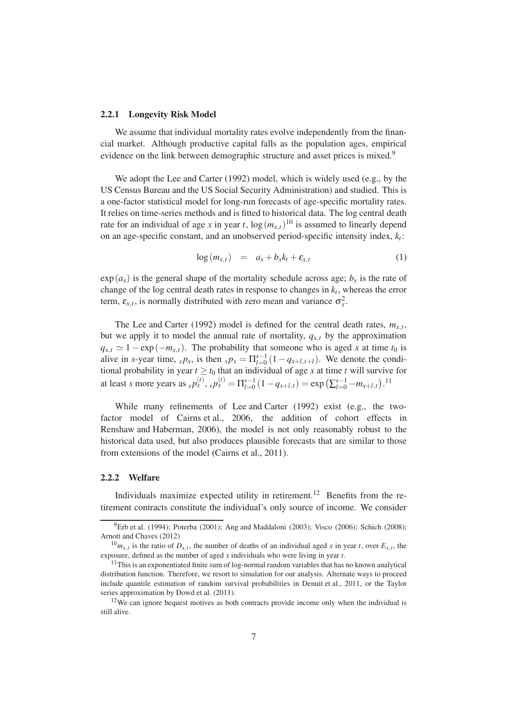#### 2.2.1 Longevity Risk Model

We assume that individual mortality rates evolve independently from the financial market. Although productive capital falls as the population ages, empirical evidence on the link between demographic structure and asset prices is mixed.<sup>9</sup>

We adopt the [Lee and Carter \(1992\)](#page-40-3) model, which is widely used (e.g., by the US Census Bureau and the US Social Security Administration) and studied. This is a one-factor statistical model for long-run forecasts of age-specific mortality rates. It relies on time-series methods and is fitted to historical data. The log central death rate for an individual of age *x* in year *t*,  $\log(m_{x,t})^{10}$  is assumed to linearly depend on an age-specific constant, and an unobserved period-specific intensity index, *k<sup>t</sup>* :

<span id="page-10-0"></span>
$$
\log(m_{x,t}) = a_x + b_x k_t + \varepsilon_{x,t} \tag{1}
$$

 $\exp(a_x)$  is the general shape of the mortality schedule across age;  $b_x$  is the rate of change of the log central death rates in response to changes in  $k_t$ , whereas the error term,  $\varepsilon_{x,t}$ , is normally distributed with zero mean and variance  $\sigma_x^2$ .

The [Lee and Carter](#page-40-3) [\(1992](#page-40-3)) model is defined for the central death rates,  $m_{x,t}$ , but we apply it to model the annual rate of mortality,  $q_{x,t}$  by the approximation  $q_{x,t} \simeq 1 - \exp(-m_{x,t})$ . The probability that someone who is aged *x* at time  $t_0$  is alive in *s*-year time,  $s p_x$ , is then  $s p_x = \prod_{l=0}^{s-1} (1 - q_{x+l,t+l})$ . We denote the conditional probability in year  $t \geq t_0$  that an individual of age x at time t will survive for at least *s* more years as  $_s p_x^{(t)}$ ,  $_s p_x^{(t)} = \prod_{l=0}^{s-1} (1 - q_{x+l,t}) = \exp\left(\sum_{l=0}^{s-1} -m_{x+l,t}\right).$ <sup>11</sup>

While many refinements of [Lee and Carter \(1992](#page-40-3)) exist (e.g., the twofactor model of [Cairns et al., 2006](#page-38-9), the addition of cohort effects in [Renshaw and Haberman](#page-41-7), [2006](#page-41-7)), the model is not only reasonably robust to the historical data used, but also produces plausible forecasts that are similar to those from extensions of the model [\(Cairns et al.](#page-38-10), [2011](#page-38-10)).

#### 2.2.2 Welfare

Individuals maximize expected utility in retirement.<sup>12</sup> Benefits from the retirement contracts constitute the individual's only source of income. We consider

 $^{9}$ [Erb et al. \(1994](#page-39-3)); [Poterba \(2001\)](#page-41-8); [Ang and Maddaloni \(2003\)](#page-37-3); [Visco](#page-42-7) [\(2006](#page-42-7)); [Schich \(2008](#page-41-9)); [Arnott and Chaves \(2012\)](#page-37-4)

 $^{10}m_{x,t}$  is the ratio of  $D_{x,t}$ , the number of deaths of an individual aged *x* in year *t*, over  $E_{x,t}$ , the exposure, defined as the number of aged *x* individuals who were living in year *t*.

 $11$ This is an exponentiated finite sum of log-normal random variables that has no known analytical distribution function. Therefore, we resort to simulation for our analysis. Alternate ways to proceed include quantile estimation of random survival probabilities in [Denuit et al., 2011,](#page-38-1) or the Taylor series approximation by [Dowd et al. \(2011\)](#page-39-4).

 $12$ We can ignore bequest motives as both contracts provide income only when the individual is still alive.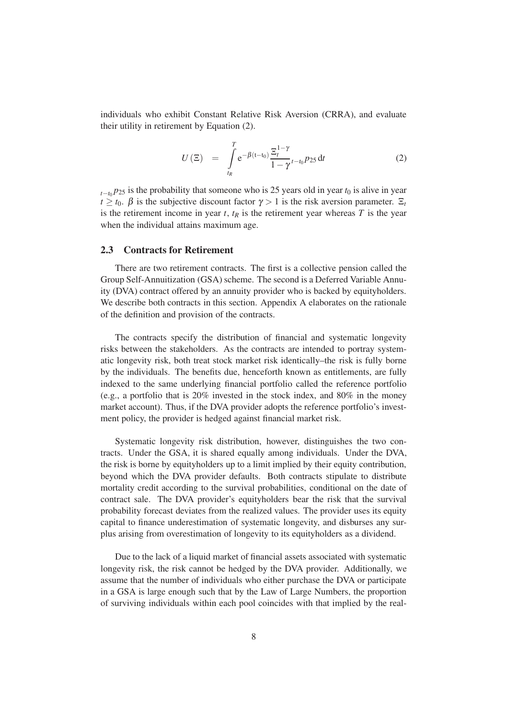individuals who exhibit Constant Relative Risk Aversion (CRRA), and evaluate their utility in retirement by Equation [\(2\)](#page-11-0).

<span id="page-11-0"></span>
$$
U\left(\Xi\right) = \int\limits_{t_R}^T e^{-\beta(t-t_0)} \frac{\Xi_t^{1-\gamma}}{1-\gamma} t^{-t_0} P_{25} dt \tag{2}
$$

 $t_{t-t_0}$ *p*<sub>25</sub> is the probability that someone who is 25 years old in year  $t_0$  is alive in year  $t \geq t_0$ .  $\beta$  is the subjective discount factor  $\gamma > 1$  is the risk aversion parameter.  $\Xi_t$ is the retirement income in year  $t$ ,  $t<sub>R</sub>$  is the retirement year whereas  $T$  is the year when the individual attains maximum age.

#### <span id="page-11-1"></span>2.3 Contracts for Retirement

There are two retirement contracts. The first is a collective pension called the Group Self-Annuitization (GSA) scheme. The second is a Deferred Variable Annuity (DVA) contract offered by an annuity provider who is backed by equityholders. We describe both contracts in this section. [A](#page-43-2)ppendix A elaborates on the rationale of the definition and provision of the contracts.

The contracts specify the distribution of financial and systematic longevity risks between the stakeholders. As the contracts are intended to portray systematic longevity risk, both treat stock market risk identically–the risk is fully borne by the individuals. The benefits due, henceforth known as entitlements, are fully indexed to the same underlying financial portfolio called the reference portfolio (e.g., a portfolio that is 20% invested in the stock index, and 80% in the money market account). Thus, if the DVA provider adopts the reference portfolio's investment policy, the provider is hedged against financial market risk.

Systematic longevity risk distribution, however, distinguishes the two contracts. Under the GSA, it is shared equally among individuals. Under the DVA, the risk is borne by equityholders up to a limit implied by their equity contribution, beyond which the DVA provider defaults. Both contracts stipulate to distribute mortality credit according to the survival probabilities, conditional on the date of contract sale. The DVA provider's equityholders bear the risk that the survival probability forecast deviates from the realized values. The provider uses its equity capital to finance underestimation of systematic longevity, and disburses any surplus arising from overestimation of longevity to its equityholders as a dividend.

Due to the lack of a liquid market of financial assets associated with systematic longevity risk, the risk cannot be hedged by the DVA provider. Additionally, we assume that the number of individuals who either purchase the DVA or participate in a GSA is large enough such that by the Law of Large Numbers, the proportion of surviving individuals within each pool coincides with that implied by the real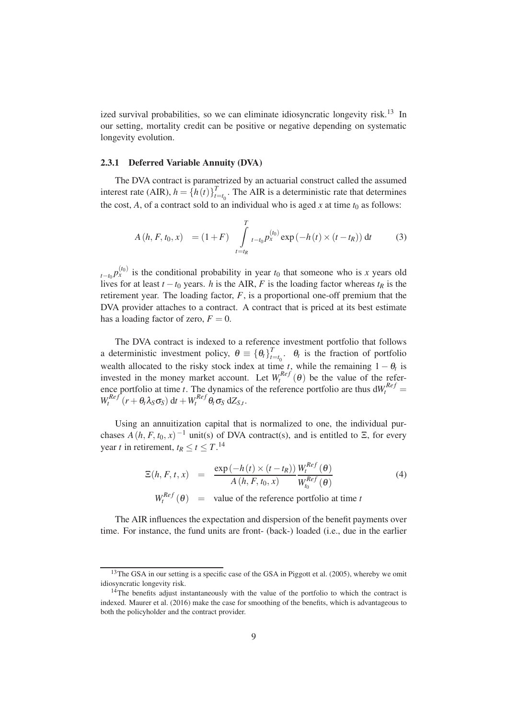ized survival probabilities, so we can eliminate idiosyncratic longevity risk.<sup>13</sup> In our setting, mortality credit can be positive or negative depending on systematic longevity evolution.

#### 2.3.1 Deferred Variable Annuity (DVA)

The DVA contract is parametrized by an actuarial construct called the assumed interest rate (AIR),  $h = \{h(t)\}_{t=1}^{T}$  $t_{t=t_0}$ . The AIR is a deterministic rate that determines the cost, A, of a contract sold to an individual who is aged x at time  $t_0$  as follows:

<span id="page-12-1"></span>
$$
A(h, F, t_0, x) = (1 + F) \int_{t = t_R}^{T} t_{-t_0} p_x^{(t_0)} \exp(-h(t) \times (t - t_R)) dt
$$
 (3)

 $t_{t-t_0} p_x^{(t_0)}$  is the conditional probability in year  $t_0$  that someone who is *x* years old lives for at least  $t - t_0$  years. *h* is the AIR, *F* is the loading factor whereas  $t_R$  is the retirement year. The loading factor, *F*, is a proportional one-off premium that the DVA provider attaches to a contract. A contract that is priced at its best estimate has a loading factor of zero,  $F = 0$ .

The DVA contract is indexed to a reference investment portfolio that follows a deterministic investment policy,  $\theta \equiv {\theta_t}_{t}^T$  $t_{t=t_0}$ .  $\theta_t$  is the fraction of portfolio wealth allocated to the risky stock index at time  $t$ , while the remaining  $1 - \theta_t$  is invested in the money market account. Let  $W_t^{Ref}(\theta)$  be the value of the reference portfolio at time *t*. The dynamics of the reference portfolio are thus  $dW_t^{Ref} =$  $W_t^{Ref}(r + \theta_t \lambda_S \sigma_S) dt + W_t^{Ref} \theta_t \sigma_S dZ_{S,t}.$ 

Using an annuitization capital that is normalized to one, the individual purchases  $A(h, F, t_0, x)$ <sup>-1</sup> unit(s) of DVA contract(s), and is entitled to  $\Xi$ , for every year *t* in retirement,  $t_R \le t \le T$ .<sup>14</sup>

<span id="page-12-0"></span>
$$
\Xi(h, F, t, x) = \frac{\exp(-h(t) \times (t - t_R))}{A(h, F, t_0, x)} \frac{W_t^{Ref}(\theta)}{W_{t_0}^{Ref}(\theta)}
$$
\n(4)  
\n
$$
W_t^{Ref}(\theta) = \text{value of the reference portfolio at time } t
$$

The AIR influences the expectation and dispersion of the benefit payments over time. For instance, the fund units are front- (back-) loaded (i.e., due in the earlier

<sup>&</sup>lt;sup>13</sup>The GSA in our setting is a specific case of the GSA in [Piggott et](#page-41-1) al. [\(2005](#page-41-1)), whereby we omit idiosyncratic longevity risk.

<sup>&</sup>lt;sup>14</sup>The benefits adjust instantaneously with the value of the portfolio to which the contract is indexed. [Maurer et al. \(2016](#page-40-5)) make the case for smoothing of the benefits, which is advantageous to both the policyholder and the contract provider.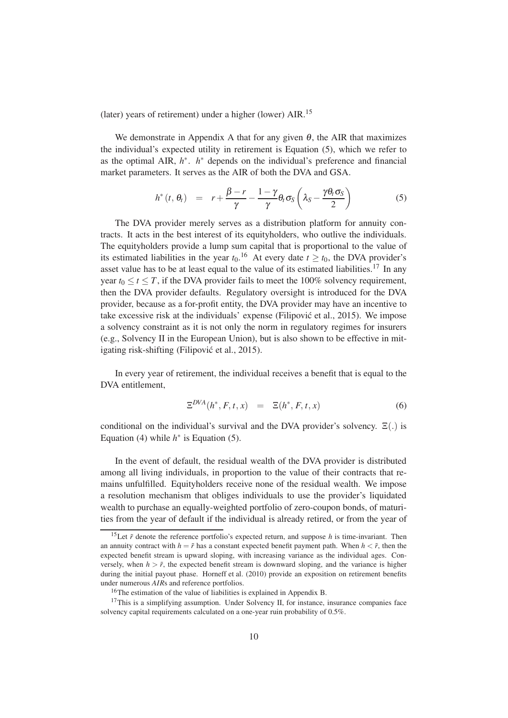(later) years of retirement) under a higher (lower)  $AIR$ <sup>15</sup>

We demonstrate in [A](#page-43-2)ppendix A that for any given  $\theta$ , the AIR that maximizes the individual's expected utility in retirement is Equation [\(5\)](#page-13-0), which we refer to as the optimal AIR,  $h^*$ .  $h^*$  depends on the individual's preference and financial market parameters. It serves as the AIR of both the DVA and GSA.

<span id="page-13-0"></span>
$$
h^*(t, \theta_t) = r + \frac{\beta - r}{\gamma} - \frac{1 - \gamma}{\gamma} \theta_t \sigma_S \left(\lambda_S - \frac{\gamma \theta_t \sigma_S}{2}\right)
$$
(5)

The DVA provider merely serves as a distribution platform for annuity contracts. It acts in the best interest of its equityholders, who outlive the individuals. The equityholders provide a lump sum capital that is proportional to the value of its estimated liabilities in the year  $t_0$ .<sup>16</sup> At every date  $t \geq t_0$ , the DVA provider's asset value has to be at least equal to the value of its estimated liabilities.<sup>17</sup> In any year  $t_0 \le t \le T$ , if the DVA provider fails to meet the 100% solvency requirement, then the DVA provider defaults. Regulatory oversight is introduced for the DVA provider, because as a for-profit entity, the DVA provider may have an incentive to take excessive risk at the individuals' expense [\(Filipovic et al.](#page-39-1), [2015\)](#page-39-1). We impose ´ a solvency constraint as it is not only the norm in regulatory regimes for insurers (e.g., Solvency II in the European Union), but is also shown to be effective in mitigating risk-shifting (Filipović et al., 2015).

In every year of retirement, the individual receives a benefit that is equal to the DVA entitlement,

<span id="page-13-1"></span>
$$
\Xi^{DVA}(h^*, F, t, x) = \Xi(h^*, F, t, x) \tag{6}
$$

conditional on the individual's survival and the DVA provider's solvency.  $\Xi(.)$  is Equation [\(4\)](#page-12-0) while  $h^*$  is Equation [\(5\)](#page-13-0).

In the event of default, the residual wealth of the DVA provider is distributed among all living individuals, in proportion to the value of their contracts that remains unfulfilled. Equityholders receive none of the residual wealth. We impose a resolution mechanism that obliges individuals to use the provider's liquidated wealth to purchase an equally-weighted portfolio of zero-coupon bonds, of maturities from the year of default if the individual is already retired, or from the year of

<sup>&</sup>lt;sup>15</sup>Let  $\tilde{r}$  denote the reference portfolio's expected return, and suppose *h* is time-invariant. Then an annuity contract with  $h = \tilde{r}$  has a constant expected benefit payment path. When  $h < \tilde{r}$ , then the expected benefit stream is upward sloping, with increasing variance as the individual ages. Conversely, when  $h > \tilde{r}$ , the expected benefit stream is downward sloping, and the variance is higher during the initial payout phase. [Horneff et al. \(2010\)](#page-39-5) provide an exposition on retirement benefits under numerous *AIR*s and reference portfolios.

<sup>16</sup>The estimation of the value of liabilities is explained in Appendix [B.](#page-45-0)

 $17$ This is a simplifying assumption. Under Solvency II, for instance, insurance companies face solvency capital requirements calculated on a one-year ruin probability of 0.5%.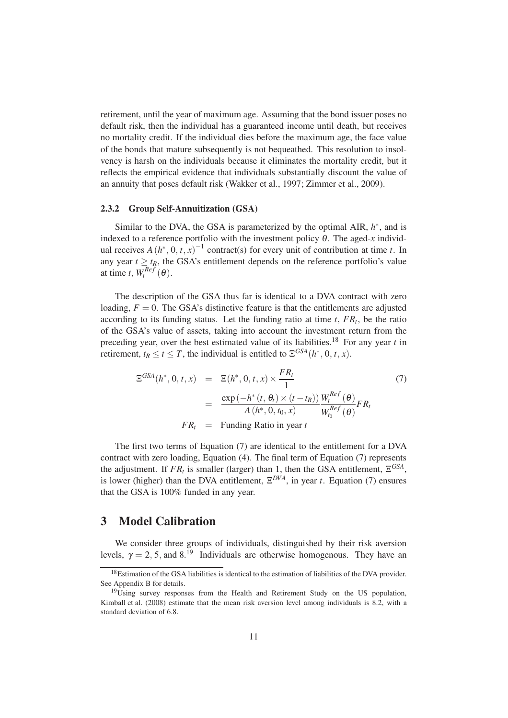retirement, until the year of maximum age. Assuming that the bond issuer poses no default risk, then the individual has a guaranteed income until death, but receives no mortality credit. If the individual dies before the maximum age, the face value of the bonds that mature subsequently is not bequeathed. This resolution to insolvency is harsh on the individuals because it eliminates the mortality credit, but it reflects the empirical evidence that individuals substantially discount the value of an annuity that poses default risk [\(Wakker et al.](#page-42-8), [1997;](#page-42-8) [Zimmer et al., 2009\)](#page-43-0).

#### 2.3.2 Group Self-Annuitization (GSA)

Similar to the DVA, the GSA is parameterized by the optimal AIR,  $h^*$ , and is indexed to a reference portfolio with the investment policy  $\theta$ . The aged-*x* individual receives  $A(h^*, 0, t, x)^{-1}$  contract(s) for every unit of contribution at time *t*. In any year  $t \geq t_R$ , the GSA's entitlement depends on the reference portfolio's value at time *t*,  $W_t^{Ref}(\theta)$ .

The description of the GSA thus far is identical to a DVA contract with zero loading,  $F = 0$ . The GSA's distinctive feature is that the entitlements are adjusted according to its funding status. Let the funding ratio at time *t*, *FR<sup>t</sup>* , be the ratio of the GSA's value of assets, taking into account the investment return from the preceding year, over the best estimated value of its liabilities.<sup>18</sup> For any year *t* in retirement,  $t_R \le t \le T$ , the individual is entitled to  $\mathbb{E}^{GSA}(h^*, 0, t, x)$ .

<span id="page-14-1"></span>
$$
\Xi^{GSA}(h^*, 0, t, x) = \Xi(h^*, 0, t, x) \times \frac{FR_t}{1}
$$
\n
$$
= \frac{\exp(-h^*(t, \theta_t) \times (t - t_R))}{A(h^*, 0, t_0, x)} \frac{W_t^{Ref}(\theta)}{W_{t_0}^{Ref}(\theta)} FR_t
$$
\n(7)\n
$$
FR_t = \text{Funding Ratio in year } t
$$

The first two terms of Equation [\(7\)](#page-14-1) are identical to the entitlement for a DVA contract with zero loading, Equation [\(4\)](#page-12-0). The final term of Equation [\(7\)](#page-14-1) represents the adjustment. If  $FR_t$  is smaller (larger) than 1, then the GSA entitlement,  $\Xi^{GSA}$ , is lower (higher) than the DVA entitlement,  $\mathbb{E}^{DVA}$ , in year *t*. Equation [\(7\)](#page-14-1) ensures that the GSA is 100% funded in any year.

## <span id="page-14-0"></span>3 Model Calibration

We consider three groups of individuals, distinguished by their risk aversion levels,  $\gamma = 2, 5$ , and 8.<sup>19</sup> Individuals are otherwise homogenous. They have an

<sup>&</sup>lt;sup>18</sup>Estimation of the GSA liabilities is identical to the estimation of liabilities of the DVA provider. See Appendix [B](#page-45-0) for details.

<sup>&</sup>lt;sup>19</sup>Using survey responses from the Health and Retirement Study on the US population, [Kimball et al. \(2008](#page-40-6)) estimate that the mean risk aversion level among individuals is 8.2, with a standard deviation of 6.8.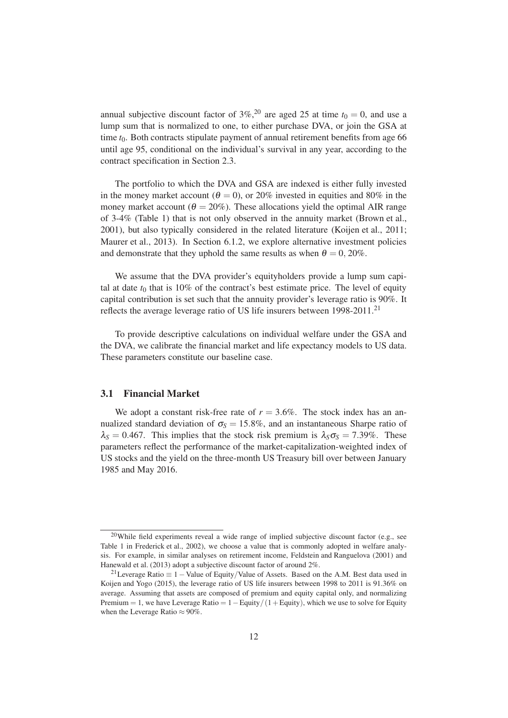annual subjective discount factor of 3%,<sup>20</sup> are aged 25 at time  $t_0 = 0$ , and use a lump sum that is normalized to one, to either purchase DVA, or join the GSA at time  $t_0$ . Both contracts stipulate payment of annual retirement benefits from age 66 until age 95, conditional on the individual's survival in any year, according to the contract specification in Section [2.3.](#page-11-1)

The portfolio to which the DVA and GSA are indexed is either fully invested in the money market account ( $\theta = 0$ ), or 20% invested in equities and 80% in the money market account ( $\theta = 20\%$ ). These allocations yield the optimal AIR range of 3-4% (Table [1\)](#page-18-0) that is not only observed in the annuity market [\(Brown et al.,](#page-38-11) [2001](#page-38-11)), but also typically considered in the related literature [\(Koijen et al.](#page-40-7), [2011](#page-40-7); [Maurer et al., 2013\)](#page-40-1). In Section [6.1.2,](#page-27-0) we explore alternative investment policies and demonstrate that they uphold the same results as when  $\theta = 0$ , 20%.

We assume that the DVA provider's equityholders provide a lump sum capital at date  $t_0$  that is 10% of the contract's best estimate price. The level of equity capital contribution is set such that the annuity provider's leverage ratio is 90%. It reflects the average leverage ratio of US life insurers between 1998-2011.<sup>21</sup>

To provide descriptive calculations on individual welfare under the GSA and the DVA, we calibrate the financial market and life expectancy models to US data. These parameters constitute our baseline case.

#### <span id="page-15-0"></span>3.1 Financial Market

We adopt a constant risk-free rate of  $r = 3.6\%$ . The stock index has an annualized standard deviation of  $\sigma_s = 15.8\%$ , and an instantaneous Sharpe ratio of  $\lambda_s = 0.467$ . This implies that the stock risk premium is  $\lambda_s \sigma_s = 7.39\%$ . These parameters reflect the performance of the market-capitalization-weighted index of US stocks and the yield on the three-month US Treasury bill over between January 1985 and May 2016.

 $20$ While field experiments reveal a wide range of implied subjective discount factor (e.g., see Table 1 in [Frederick et al.](#page-39-6), [2002\)](#page-39-6), we choose a value that is commonly adopted in welfare analysis. For example, in similar analyses on retirement income, [Feldstein and Ranguelova](#page-39-7) [\(2001](#page-39-7)) and [Hanewald et al. \(2013\)](#page-39-0) adopt a subjective discount factor of around 2%.

<sup>&</sup>lt;sup>21</sup>Leverage Ratio  $\equiv 1 -$  Value of Equity/Value of Assets. Based on the A.M. Best data used in [Koijen and Yogo \(2015\)](#page-40-8), the leverage ratio of US life insurers between 1998 to 2011 is 91.36% on average. Assuming that assets are composed of premium and equity capital only, and normalizing Premium = 1, we have Leverage Ratio =  $1 -$ Equity $/(1 +$ Equity), which we use to solve for Equity when the Leverage Ratio  $\approx 90\%$ .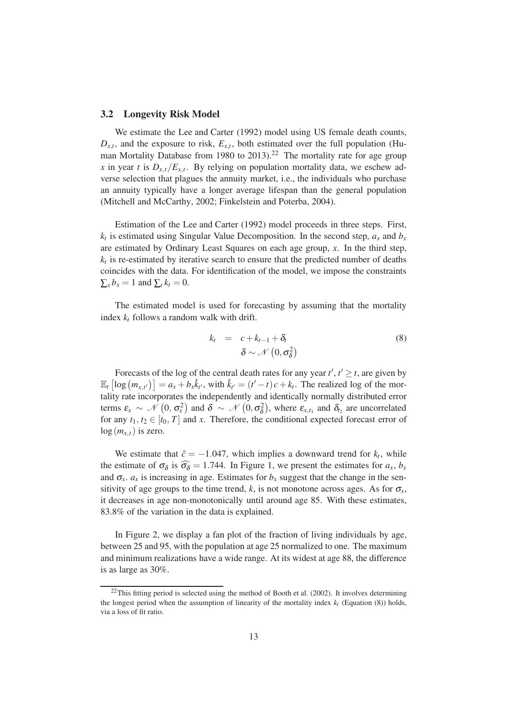#### <span id="page-16-1"></span>3.2 Longevity Risk Model

We estimate the [Lee and Carter \(1992\)](#page-40-3) model using US female death counts,  $D_{x,t}$ , and the exposure to risk,  $E_{x,t}$ , both estimated over the full population (Human Mortality Database from 1980 to  $2013$ ).<sup>22</sup> The mortality rate for age group *x* in year *t* is  $D_{x,t}/E_{x,t}$ . By relying on population mortality data, we eschew adverse selection that plagues the annuity market, i.e., the individuals who purchase an annuity typically have a longer average lifespan than the general population [\(Mitchell and McCarthy, 2002](#page-41-10); [Finkelstein and Poterba, 2004](#page-39-8)).

Estimation of the [Lee and Carter \(1992\)](#page-40-3) model proceeds in three steps. First,  $k_t$  is estimated using Singular Value Decomposition. In the second step,  $a_x$  and  $b_x$ are estimated by Ordinary Least Squares on each age group, *x*. In the third step,  $k_t$  is re-estimated by iterative search to ensure that the predicted number of deaths coincides with the data. For identification of the model, we impose the constraints  $\sum_{x} b_x = 1$  and  $\sum_{t} k_t = 0$ .

The estimated model is used for forecasting by assuming that the mortality index  $k_t$  follows a random walk with drift.

<span id="page-16-0"></span>
$$
k_t = c + k_{t-1} + \delta_t
$$
  
\n
$$
\delta \sim \mathcal{N}\left(0, \sigma_{\delta}^2\right)
$$
 (8)

Forecasts of the log of the central death rates for any year  $t', t' \geq t$ , are given by  $\mathbb{E}_t \left[ \log \left( m_{x,t'} \right) \right] = a_x + b_x \hat{k}_{t'}$ , with  $\hat{k}_{t'} = (t'-t)c + k_t$ . The realized log of the mortality rate incorporates the independently and identically normally distributed error terms  $\varepsilon_x \sim \mathcal{N}\left(0, \sigma_x^2\right)$  and  $\delta \sim \mathcal{N}\left(0, \sigma_\delta^2\right)$ , where  $\varepsilon_{x,t_1}$  and  $\delta_{t_2}$  are uncorrelated for any  $t_1, t_2 \in [t_0, T]$  and *x*. Therefore, the conditional expected forecast error of  $log(m_{x,t})$  is zero.

We estimate that  $\hat{c} = -1.047$ , which implies a downward trend for  $k_t$ , while the estimate of  $\sigma_{\delta}$  is  $\widehat{\sigma_{\delta}} = 1.744$ . In Figure [1,](#page-17-0) we present the estimates for *a<sub>x</sub>*, *b<sub>x</sub>* and  $\sigma_x$ .  $a_x$  is increasing in age. Estimates for  $b_x$  suggest that the change in the sensitivity of age groups to the time trend,  $k$ , is not monotone across ages. As for  $\sigma_x$ , it decreases in age non-monotonically until around age 85. With these estimates, 83.8% of the variation in the data is explained.

In Figure [2,](#page-18-1) we display a fan plot of the fraction of living individuals by age, between 25 and 95, with the population at age 25 normalized to one. The maximum and minimum realizations have a wide range. At its widest at age 88, the difference is as large as 30%.

 $22$ This fitting period is selected using the method of [Booth et al. \(2002](#page-37-5)). It involves determining the longest period when the assumption of linearity of the mortality index  $k_t$  (Equation [\(8\)](#page-16-0)) holds, via a loss of fit ratio.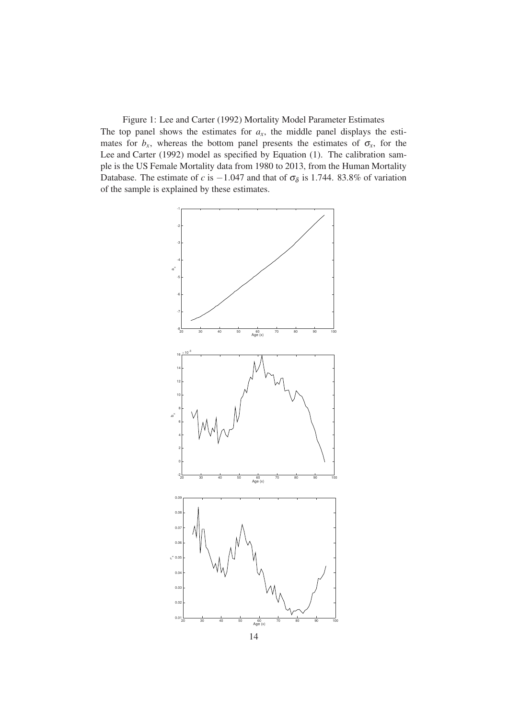<span id="page-17-0"></span>Figure 1: [Lee and Carter \(1992\)](#page-40-3) Mortality Model Parameter Estimates The top panel shows the estimates for  $a<sub>x</sub>$ , the middle panel displays the estimates for  $b_x$ , whereas the bottom panel presents the estimates of  $\sigma_x$ , for the [Lee and Carter \(1992\)](#page-40-3) model as specified by Equation [\(1\)](#page-10-0). The calibration sample is the US Female Mortality data from 1980 to 2013, from the Human Mortality Database. The estimate of *c* is  $-1.047$  and that of  $\sigma_{\delta}$  is 1.744. 83.8% of variation of the sample is explained by these estimates.

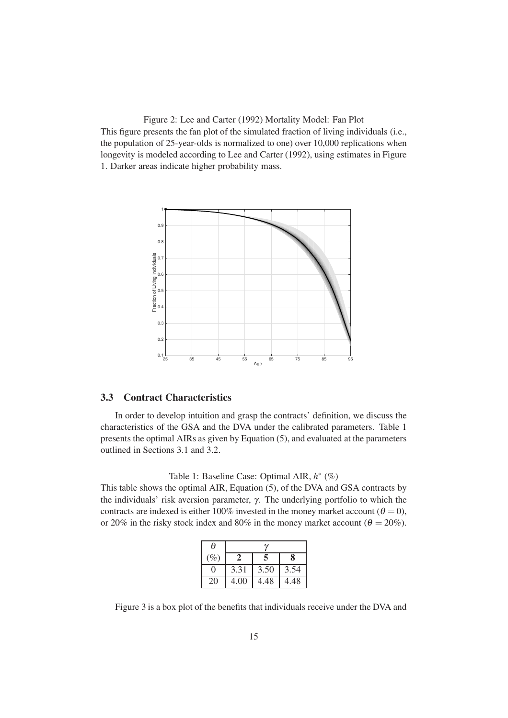<span id="page-18-1"></span>Figure 2: [Lee and Carter \(1992](#page-40-3)) Mortality Model: Fan Plot This figure presents the fan plot of the simulated fraction of living individuals (i.e., the population of 25-year-olds is normalized to one) over 10,000 replications when longevity is modeled according to [Lee and Carter](#page-40-3) [\(1992](#page-40-3)), using estimates in Figure [1.](#page-17-0) Darker areas indicate higher probability mass.



#### 3.3 Contract Characteristics

In order to develop intuition and grasp the contracts' definition, we discuss the characteristics of the GSA and the DVA under the calibrated parameters. Table [1](#page-18-0) presents the optimal AIRs as given by Equation [\(5\)](#page-13-0), and evaluated at the parameters outlined in Sections [3.1](#page-15-0) and [3.2.](#page-16-1)

## <span id="page-18-0"></span>Table 1: Baseline Case: Optimal AIR,  $h^*$  (%)

This table shows the optimal AIR, Equation [\(5\)](#page-13-0), of the DVA and GSA contracts by the individuals' risk aversion parameter, γ. The underlying portfolio to which the contracts are indexed is either 100% invested in the money market account ( $\theta = 0$ ), or 20% in the risky stock index and 80% in the money market account ( $\theta = 20\%$ ).

| θ      |      |      |      |
|--------|------|------|------|
| $(\%)$ |      | 5    | 8    |
| 0      | 3.31 | 3.50 | 3.54 |
| 20     | 4.00 | 4.48 | 4.48 |

Figure [3](#page-20-0) is a box plot of the benefits that individuals receive under the DVA and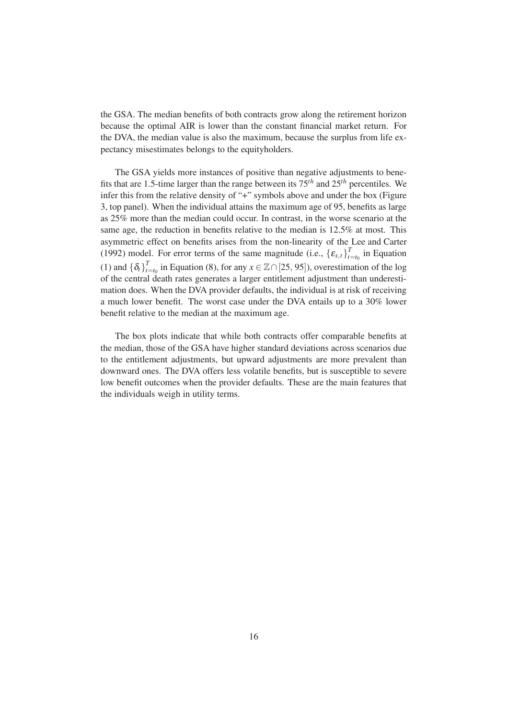the GSA. The median benefits of both contracts grow along the retirement horizon because the optimal AIR is lower than the constant financial market return. For the DVA, the median value is also the maximum, because the surplus from life expectancy misestimates belongs to the equityholders.

The GSA yields more instances of positive than negative adjustments to benefits that are 1.5-time larger than the range between its 75*th* and 25*th* percentiles. We infer this from the relative density of "+" symbols above and under the box (Figure [3,](#page-20-0) top panel). When the individual attains the maximum age of 95, benefits as large as 25% more than the median could occur. In contrast, in the worse scenario at the same age, the reduction in benefits relative to the median is 12.5% at most. This asymmetric effect on benefits arises from the non-linearity of the [Lee and Carter](#page-40-3) [\(1992](#page-40-3)) model. For error terms of the same magnitude (i.e.,  $\{\varepsilon_{x,t}\}_{t=1}^T$  $t_{t=t_0}$  in Equation [\(1\)](#page-10-0) and  $\{\delta_t\}_{t=1}^T$ *t*<sup>*t*</sup><sub>*t*=*t*<sub>0</sub></sub> in Equation [\(8\)](#page-16-0), for any *x* ∈  $\mathbb{Z} \cap$  [25, 95]), overestimation of the log of the central death rates generates a larger entitlement adjustment than underestimation does. When the DVA provider defaults, the individual is at risk of receiving a much lower benefit. The worst case under the DVA entails up to a 30% lower benefit relative to the median at the maximum age.

The box plots indicate that while both contracts offer comparable benefits at the median, those of the GSA have higher standard deviations across scenarios due to the entitlement adjustments, but upward adjustments are more prevalent than downward ones. The DVA offers less volatile benefits, but is susceptible to severe low benefit outcomes when the provider defaults. These are the main features that the individuals weigh in utility terms.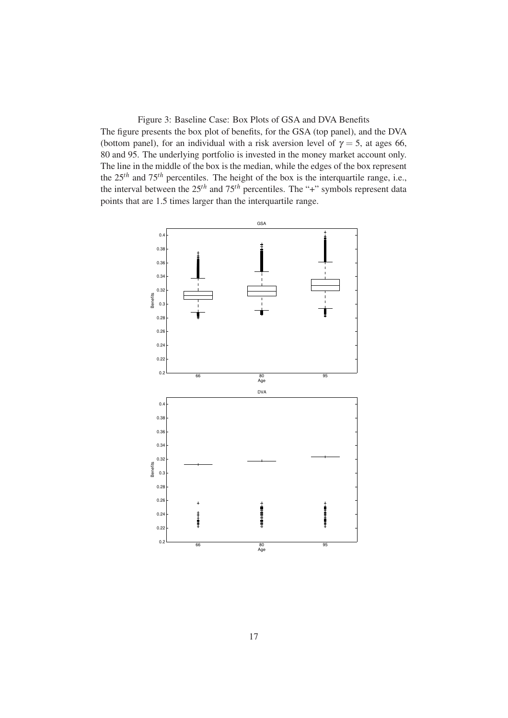<span id="page-20-0"></span>Figure 3: Baseline Case: Box Plots of GSA and DVA Benefits The figure presents the box plot of benefits, for the GSA (top panel), and the DVA (bottom panel), for an individual with a risk aversion level of  $\gamma = 5$ , at ages 66, 80 and 95. The underlying portfolio is invested in the money market account only. The line in the middle of the box is the median, while the edges of the box represent the 25*th* and 75*th* percentiles. The height of the box is the interquartile range, i.e., the interval between the 25*th* and 75*th* percentiles. The "+" symbols represent data points that are 1.5 times larger than the interquartile range.

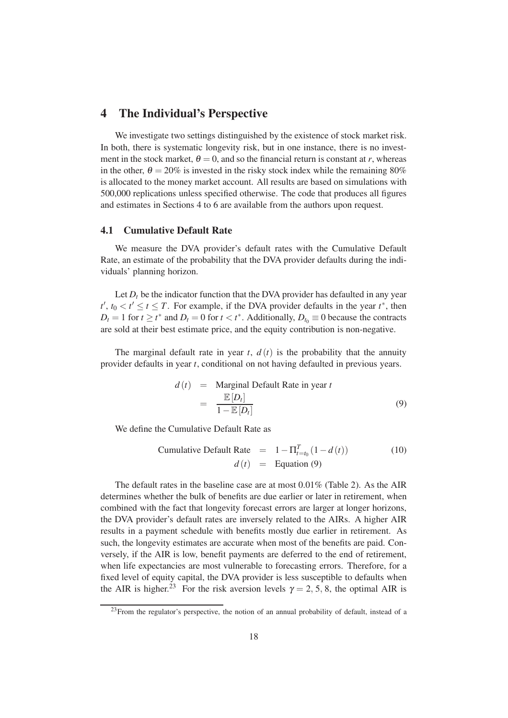# <span id="page-21-0"></span>4 The Individual's Perspective

We investigate two settings distinguished by the existence of stock market risk. In both, there is systematic longevity risk, but in one instance, there is no investment in the stock market,  $\theta = 0$ , and so the financial return is constant at *r*, whereas in the other,  $\theta = 20\%$  is invested in the risky stock index while the remaining 80% is allocated to the money market account. All results are based on simulations with 500,000 replications unless specified otherwise. The code that produces all figures and estimates in Sections [4](#page-21-0) to [6](#page-26-1) are available from the authors upon request.

### 4.1 Cumulative Default Rate

We measure the DVA provider's default rates with the Cumulative Default Rate, an estimate of the probability that the DVA provider defaults during the individuals' planning horizon.

Let  $D_t$  be the indicator function that the DVA provider has defaulted in any year *t*<sup> $′$ </sup>, *t*<sup>0</sup> ≤ *t* ≤ *t* ≤ *T*. For example, if the DVA provider defaults in the year *t*<sup>\*</sup>, then  $D_t = 1$  for  $t \geq t^*$  and  $D_t = 0$  for  $t < t^*$ . Additionally,  $D_{t_0} \equiv 0$  because the contracts are sold at their best estimate price, and the equity contribution is non-negative.

The marginal default rate in year  $t$ ,  $d(t)$  is the probability that the annuity provider defaults in year *t*, conditional on not having defaulted in previous years.

<span id="page-21-1"></span>
$$
d(t) = \text{Marginal Default Rate in year } t
$$
  
= 
$$
\frac{\mathbb{E}[D_t]}{1 - \mathbb{E}[D_t]}
$$
 (9)

We define the Cumulative Default Rate as

<span id="page-21-2"></span>Cumulative Default Rate = 
$$
1 - \Pi_{t=t_0}^T (1 - d(t))
$$
 (10)  

$$
d(t) = \text{Equation (9)}
$$

The default rates in the baseline case are at most 0.01% (Table [2\)](#page-23-2). As the AIR determines whether the bulk of benefits are due earlier or later in retirement, when combined with the fact that longevity forecast errors are larger at longer horizons, the DVA provider's default rates are inversely related to the AIRs. A higher AIR results in a payment schedule with benefits mostly due earlier in retirement. As such, the longevity estimates are accurate when most of the benefits are paid. Conversely, if the AIR is low, benefit payments are deferred to the end of retirement, when life expectancies are most vulnerable to forecasting errors. Therefore, for a fixed level of equity capital, the DVA provider is less susceptible to defaults when the AIR is higher.<sup>23</sup> For the risk aversion levels  $\gamma = 2, 5, 8$ , the optimal AIR is

 $^{23}$ From the regulator's perspective, the notion of an annual probability of default, instead of a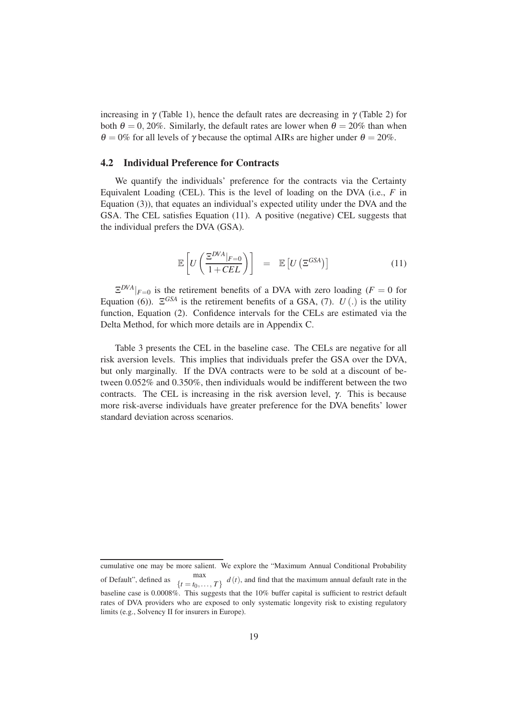increasing in  $\gamma$  (Table [1\)](#page-18-0), hence the default rates are decreasing in  $\gamma$  (Table [2\)](#page-23-2) for both  $\theta = 0$ , 20%. Similarly, the default rates are lower when  $\theta = 20\%$  than when  $\theta = 0\%$  for all levels of  $\gamma$  because the optimal AIRs are higher under  $\theta = 20\%$ .

#### 4.2 Individual Preference for Contracts

We quantify the individuals' preference for the contracts via the Certainty Equivalent Loading (CEL). This is the level of loading on the DVA (i.e., *F* in Equation [\(3\)](#page-12-1)), that equates an individual's expected utility under the DVA and the GSA. The CEL satisfies Equation [\(11\)](#page-22-0). A positive (negative) CEL suggests that the individual prefers the DVA (GSA).

<span id="page-22-0"></span>
$$
\mathbb{E}\left[U\left(\frac{\Xi^{DVA}|_{F=0}}{1+CEL}\right)\right] = \mathbb{E}\left[U\left(\Xi^{GSA}\right)\right] \tag{11}
$$

 $\mathbb{E}^{DVA}|_{F=0}$  is the retirement benefits of a DVA with zero loading ( $F=0$  for Equation [\(6\)](#page-13-1)).  $\Xi^{GSA}$  is the retirement benefits of a GSA, [\(7\)](#page-14-1).  $U(.)$  is the utility function, Equation [\(2\)](#page-11-0). Confidence intervals for the CELs are estimated via the Delta Method, for which more details are in Appendix [C.](#page-49-0)

Table [3](#page-23-0) presents the CEL in the baseline case. The CELs are negative for all risk aversion levels. This implies that individuals prefer the GSA over the DVA, but only marginally. If the DVA contracts were to be sold at a discount of between 0.052% and 0.350%, then individuals would be indifferent between the two contracts. The CEL is increasing in the risk aversion level, γ. This is because more risk-averse individuals have greater preference for the DVA benefits' lower standard deviation across scenarios.

cumulative one may be more salient. We explore the "Maximum Annual Conditional Probability of Default", defined as  $\max_{\{t = t_0, ..., T\}} d(t)$ , and find that the maximum annual default rate in the baseline case is 0.0008%. This suggests that the 10% buffer capital is sufficient to restrict default rates of DVA providers who are exposed to only systematic longevity risk to existing regulatory limits (e.g., Solvency II for insurers in Europe).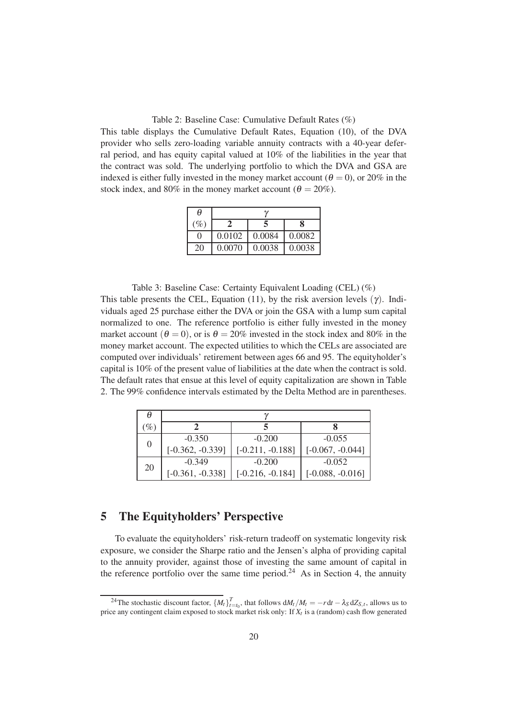<span id="page-23-2"></span>Table 2: Baseline Case: Cumulative Default Rates (%)

This table displays the Cumulative Default Rates, Equation [\(10\)](#page-21-2), of the DVA provider who sells zero-loading variable annuity contracts with a 40-year deferral period, and has equity capital valued at 10% of the liabilities in the year that the contract was sold. The underlying portfolio to which the DVA and GSA are indexed is either fully invested in the money market account ( $\theta = 0$ ), or 20% in the stock index, and 80% in the money market account ( $\theta = 20\%$ ).

| θ                |        |        |        |
|------------------|--------|--------|--------|
| $(\%)$           |        |        | 8      |
| $\left( \right)$ | 0.0102 | 0.0084 | 0.0082 |
| 20               | 0.0070 | 0.0038 | 0.0038 |

<span id="page-23-0"></span>Table 3: Baseline Case: Certainty Equivalent Loading (CEL) (%) This table presents the CEL, Equation [\(11\)](#page-22-0), by the risk aversion levels ( $\gamma$ ). Individuals aged 25 purchase either the DVA or join the GSA with a lump sum capital normalized to one. The reference portfolio is either fully invested in the money market account ( $\theta = 0$ ), or is  $\theta = 20\%$  invested in the stock index and 80% in the money market account. The expected utilities to which the CELs are associated are computed over individuals' retirement between ages 66 and 95. The equityholder's capital is 10% of the present value of liabilities at the date when the contract is sold. The default rates that ensue at this level of equity capitalization are shown in Table [2.](#page-23-2) The 99% confidence intervals estimated by the Delta Method are in parentheses.

| θ        |                    |                    |                    |
|----------|--------------------|--------------------|--------------------|
| $\%$     |                    |                    |                    |
| $\theta$ | $-0.350$           | $-0.200$           | $-0.055$           |
|          | $[-0.362, -0.339]$ | $[-0.211, -0.188]$ | $[-0.067, -0.044]$ |
|          | $-0.349$           | $-0.200$           | $-0.052$           |
| 20       | $[-0.361, -0.338]$ | $[-0.216, -0.184]$ | $[-0.088, -0.016]$ |

# <span id="page-23-1"></span>5 The Equityholders' Perspective

To evaluate the equityholders' risk-return tradeoff on systematic longevity risk exposure, we consider the Sharpe ratio and the Jensen's alpha of providing capital to the annuity provider, against those of investing the same amount of capital in the reference portfolio over the same time period.<sup>24</sup> As in Section [4,](#page-21-0) the annuity

<sup>&</sup>lt;sup>24</sup>The stochastic discount factor,  $\{M_t\}_{t=t_0}^T$ , that follows  $dM_t/M_t = -r dt - \lambda_S dZ_{S,t}$ , allows us to price any contingent claim exposed to stock market risk only: If *Xt* is a (random) cash flow generated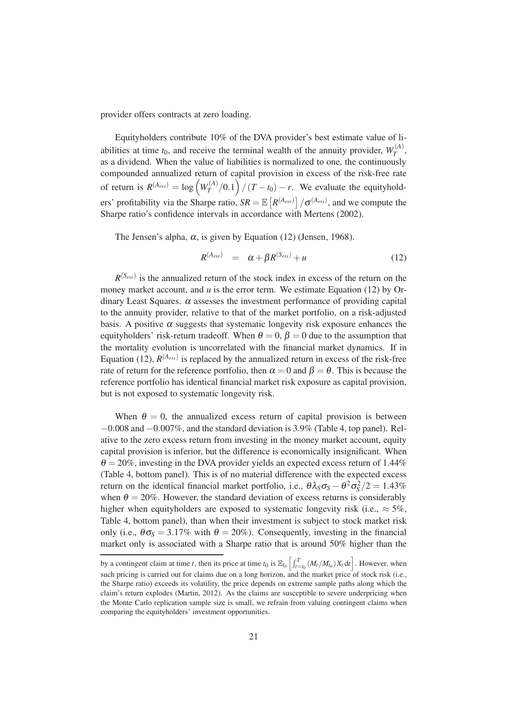provider offers contracts at zero loading.

Equityholders contribute 10% of the DVA provider's best estimate value of liabilities at time  $t_0$ , and receive the terminal wealth of the annuity provider,  $W_T^{(A)}$  $T^{(A)},$ as a dividend. When the value of liabilities is normalized to one, the continuously compounded annualized return of capital provision in excess of the risk-free rate of return is  $R^{(A_{\text{exs}})} = \log (W_T^{(A)})$  $T(T^{(A)}/0.1)$   $\left(T - t_0\right) - r$ . We evaluate the equityholders' profitability via the Sharpe ratio,  $SR = \mathbb{E}\left[R^{(A_{\text{ex}})}\right] / \sigma^{(A_{\text{ex}})}$ , and we compute the Sharpe ratio's confidence intervals in accordance with [Mertens \(2002\)](#page-40-9).

The Jensen's alpha,  $\alpha$ , is given by Equation [\(12\)](#page-24-0) [\(Jensen](#page-40-10), [1968](#page-40-10)).

<span id="page-24-0"></span>
$$
R^{(A_{\text{exs}})} = \alpha + \beta R^{(S_{\text{exs}})} + u \tag{12}
$$

 $R^{(S_{\text{ext}})}$  is the annualized return of the stock index in excess of the return on the money market account, and  $u$  is the error term. We estimate Equation [\(12\)](#page-24-0) by Ordinary Least Squares.  $\alpha$  assesses the investment performance of providing capital to the annuity provider, relative to that of the market portfolio, on a risk-adjusted basis. A positive  $\alpha$  suggests that systematic longevity risk exposure enhances the equityholders' risk-return tradeoff. When  $\theta = 0$ ,  $\beta = 0$  due to the assumption that the mortality evolution is uncorrelated with the financial market dynamics. If in Equation [\(12\)](#page-24-0),  $R^{(A_{\text{ext}})}$  is replaced by the annualized return in excess of the risk-free rate of return for the reference portfolio, then  $\alpha = 0$  and  $\beta = \theta$ . This is because the reference portfolio has identical financial market risk exposure as capital provision, but is not exposed to systematic longevity risk.

When  $\theta = 0$ , the annualized excess return of capital provision is between  $-0.008$  and  $-0.007\%$ , and the standard deviation is 3.9% (Table [4,](#page-26-0) top panel). Relative to the zero excess return from investing in the money market account, equity capital provision is inferior, but the difference is economically insignificant. When  $\theta = 20\%$ , investing in the DVA provider yields an expected excess return of 1.44% (Table [4,](#page-26-0) bottom panel). This is of no material difference with the expected excess return on the identical financial market portfolio, i.e.,  $\theta \lambda_S \sigma_S - \theta^2 \sigma_S^2/2 = 1.43\%$ when  $\theta = 20\%$ . However, the standard deviation of excess returns is considerably higher when equityholders are exposed to systematic longevity risk (i.e.,  $\approx$  5%, Table [4,](#page-26-0) bottom panel), than when their investment is subject to stock market risk only (i.e.,  $\theta \sigma_s = 3.17\%$  with  $\theta = 20\%$ ). Consequently, investing in the financial market only is associated with a Sharpe ratio that is around 50% higher than the

by a contingent claim at time *t*, then its price at time  $t_0$  is  $\mathbb{E}_{t_0} \left[ \int_{t=t_0}^T (M_t/M_{t_0}) X_t dt \right]$ . However, when such pricing is carried out for claims due on a long horizon, and the market price of stock risk (i.e., the Sharpe ratio) exceeds its volatility, the price depends on extreme sample paths along which the claim's return explodes [\(Martin](#page-40-11), [2012](#page-40-11)). As the claims are susceptible to severe underpricing when the Monte Carlo replication sample size is small, we refrain from valuing contingent claims when comparing the equityholders' investment opportunities.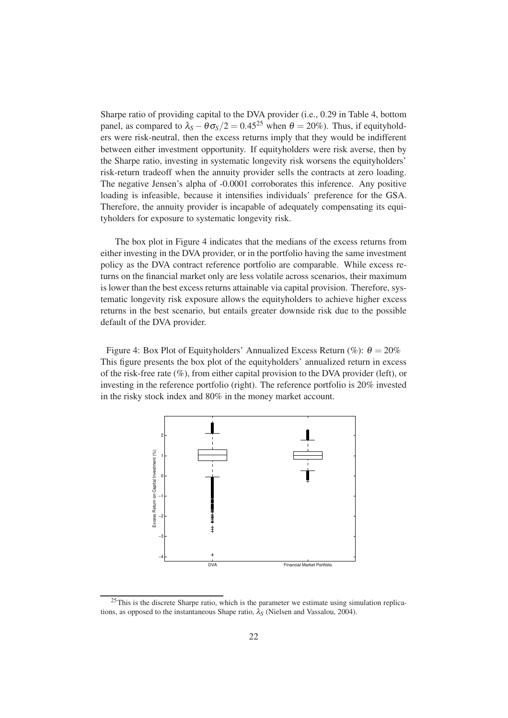Sharpe ratio of providing capital to the DVA provider (i.e., 0.29 in Table [4,](#page-26-0) bottom panel, as compared to  $\lambda_s - \theta \sigma_s/2 = 0.45^{25}$  when  $\theta = 20\%$ ). Thus, if equityholders were risk-neutral, then the excess returns imply that they would be indifferent between either investment opportunity. If equityholders were risk averse, then by the Sharpe ratio, investing in systematic longevity risk worsens the equityholders' risk-return tradeoff when the annuity provider sells the contracts at zero loading. The negative Jensen's alpha of -0.0001 corroborates this inference. Any positive loading is infeasible, because it intensifies individuals' preference for the GSA. Therefore, the annuity provider is incapable of adequately compensating its equityholders for exposure to systematic longevity risk.

The box plot in Figure [4](#page-25-0) indicates that the medians of the excess returns from either investing in the DVA provider, or in the portfolio having the same investment policy as the DVA contract reference portfolio are comparable. While excess returns on the financial market only are less volatile across scenarios, their maximum is lower than the best excess returns attainable via capital provision. Therefore, systematic longevity risk exposure allows the equityholders to achieve higher excess returns in the best scenario, but entails greater downside risk due to the possible default of the DVA provider.

<span id="page-25-0"></span>Figure 4: Box Plot of Equityholders' Annualized Excess Return (%):  $\theta = 20\%$ This figure presents the box plot of the equityholders' annualized return in excess of the risk-free rate (%), from either capital provision to the DVA provider (left), or investing in the reference portfolio (right). The reference portfolio is 20% invested in the risky stock index and 80% in the money market account.



 $25$ This is the discrete Sharpe ratio, which is the parameter we estimate using simulation replications, as opposed to the instantaneous Shape ratio,  $\lambda_S$  [\(Nielsen and Vassalou, 2004](#page-41-11)).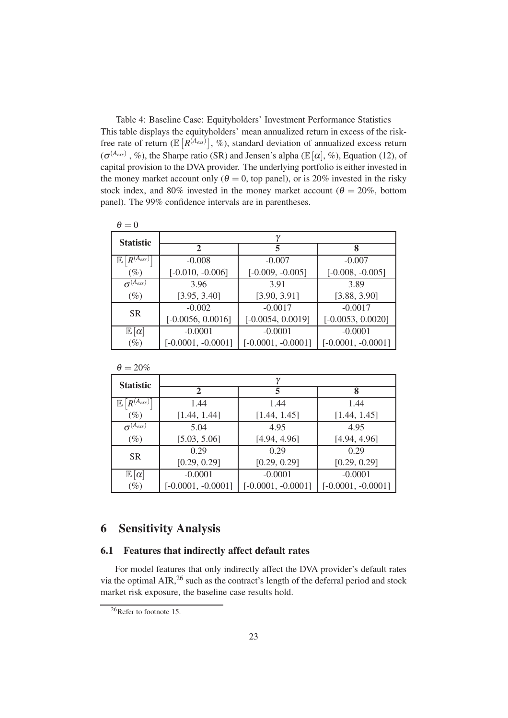<span id="page-26-0"></span>Table 4: Baseline Case: Equityholders' Investment Performance Statistics This table displays the equityholders' mean annualized return in excess of the riskfree rate of return ( $\mathbb{E}\left[R^{(A_{\text{ex}})}\right],$  %), standard deviation of annualized excess return  $(\sigma^{(A_{\text{ex}})}, \%)$ , the Sharpe ratio (SR) and Jensen's alpha ( $\mathbb{E}[\alpha], \%$ ), Equation [\(12\)](#page-24-0), of capital provision to the DVA provider. The underlying portfolio is either invested in the money market account only ( $\theta = 0$ , top panel), or is 20% invested in the risky stock index, and 80% invested in the money market account ( $\theta = 20\%$ , bottom panel). The 99% confidence intervals are in parentheses.

| $\theta = 0$          |                      |                      |                      |  |
|-----------------------|----------------------|----------------------|----------------------|--|
| <b>Statistic</b>      | $\gamma$             |                      |                      |  |
|                       | $\mathbf 2$          | 5                    | 8                    |  |
| $ R^{(A_{exs})}$<br>E | $-0.008$             | $-0.007$             | $-0.007$             |  |
| $(\%)$                | $[-0.010, -0.006]$   | $[-0.009, -0.005]$   | $[-0.008, -0.005]$   |  |
| $\sigma^{(A_{exs})}$  | 3.96                 | 3.91                 | 3.89                 |  |
| $(\%)$                | [3.95, 3.40]         | [3.90, 3.91]         | [3.88, 3.90]         |  |
| <b>SR</b>             | $-0.002$             | $-0.0017$            | $-0.0017$            |  |
|                       | $[-0.0056, 0.0016]$  | $[-0.0054, 0.0019]$  | $[-0.0053, 0.0020]$  |  |
| $\mathbb{E}[\alpha]$  | $-0.0001$            | $-0.0001$            | $-0.0001$            |  |
| $(\%)$                | $[-0.0001, -0.0001]$ | $[-0.0001, -0.0001]$ | $[-0.0001, -0.0001]$ |  |

|--|--|

| <b>Statistic</b>               |                      |                      |                      |  |
|--------------------------------|----------------------|----------------------|----------------------|--|
|                                | 2                    | 5                    | 8                    |  |
| $R^{(A_{exs})}$<br>$\mathbb E$ | 1.44                 | 1.44                 | 1.44                 |  |
| $(\%)$                         | [1.44, 1.44]         | [1.44, 1.45]         | [1.44, 1.45]         |  |
| $\sigma^{(A_{exs})}$           | 5.04                 | 4.95                 | 4.95                 |  |
| $(\%)$                         | [5.03, 5.06]         | [4.94, 4.96]         | [4.94, 4.96]         |  |
| <b>SR</b>                      | 0.29                 | 0.29                 | 0.29                 |  |
|                                | [0.29, 0.29]         | [0.29, 0.29]         | [0.29, 0.29]         |  |
| $\mathbb{E}[\alpha]$           | $-0.0001$            | $-0.0001$            | $-0.0001$            |  |
| $(\%)$                         | $[-0.0001, -0.0001]$ | $[-0.0001, -0.0001]$ | $[-0.0001, -0.0001]$ |  |

# <span id="page-26-1"></span>6 Sensitivity Analysis

## 6.1 Features that indirectly affect default rates

For model features that only indirectly affect the DVA provider's default rates via the optimal  $\text{AIR}$ ,  $^{26}$  such as the contract's length of the deferral period and stock market risk exposure, the baseline case results hold.

<sup>&</sup>lt;sup>26</sup>Refer to footnote [15.](#page-12-0)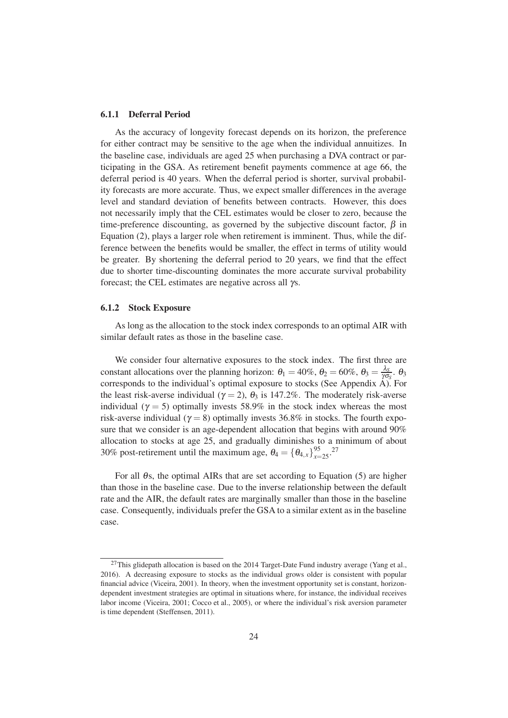#### 6.1.1 Deferral Period

As the accuracy of longevity forecast depends on its horizon, the preference for either contract may be sensitive to the age when the individual annuitizes. In the baseline case, individuals are aged 25 when purchasing a DVA contract or participating in the GSA. As retirement benefit payments commence at age 66, the deferral period is 40 years. When the deferral period is shorter, survival probability forecasts are more accurate. Thus, we expect smaller differences in the average level and standard deviation of benefits between contracts. However, this does not necessarily imply that the CEL estimates would be closer to zero, because the time-preference discounting, as governed by the subjective discount factor,  $\beta$  in Equation [\(2\)](#page-11-0), plays a larger role when retirement is imminent. Thus, while the difference between the benefits would be smaller, the effect in terms of utility would be greater. By shortening the deferral period to 20 years, we find that the effect due to shorter time-discounting dominates the more accurate survival probability forecast; the CEL estimates are negative across all γs.

#### <span id="page-27-0"></span>6.1.2 Stock Exposure

As long as the allocation to the stock index corresponds to an optimal AIR with similar default rates as those in the baseline case.

We consider four alternative exposures to the stock index. The first three are constant allocations over the planning horizon:  $\theta_1 = 40\%$ ,  $\theta_2 = 60\%$ ,  $\theta_3 = \frac{\lambda_3}{\gamma \sigma^2}$  $\frac{\lambda_S}{\gamma \sigma_S}$ . θ<sub>3</sub> corresponds to the individual's optimal exposure to stocks (See Appendix  $\overrightarrow{A}$ ). For the least risk-averse individual ( $\gamma = 2$ ),  $\theta_3$  is 147.2%. The moderately risk-averse individual ( $\gamma = 5$ ) optimally invests 58.9% in the stock index whereas the most risk-averse individual ( $\gamma = 8$ ) optimally invests 36.8% in stocks. The fourth exposure that we consider is an age-dependent allocation that begins with around 90% allocation to stocks at age 25, and gradually diminishes to a minimum of about 30% post-retirement until the maximum age,  $\theta_4 = {\theta_{4,x}}_{x=25}^{95}$ .<sup>27</sup>

For all <sup>θ</sup>s, the optimal AIRs that are set according to Equation [\(5\)](#page-13-0) are higher than those in the baseline case. Due to the inverse relationship between the default rate and the AIR, the default rates are marginally smaller than those in the baseline case. Consequently, individuals prefer the GSA to a similar extent as in the baseline case.

 $^{27}$ This glidepath allocation is based on the 2014 Target-Date Fund industry average [\(Yang et al.](#page-43-3), [2016\)](#page-43-3). A decreasing exposure to stocks as the individual grows older is consistent with popular financial advice [\(Viceira](#page-42-9), [2001](#page-42-9)). In theory, when the investment opportunity set is constant, horizondependent investment strategies are optimal in situations where, for instance, the individual receives labor income [\(Viceira, 2001;](#page-42-9) [Cocco et al., 2005](#page-38-12)), or where the individual's risk aversion parameter is time dependent [\(Steffensen, 2011](#page-42-10)).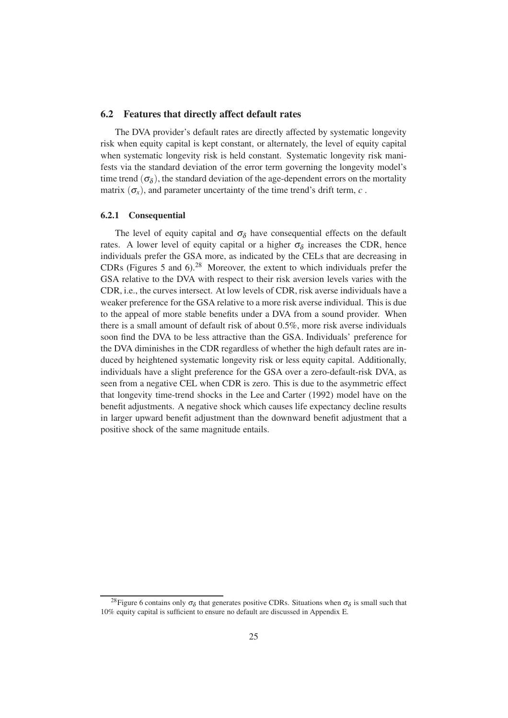#### 6.2 Features that directly affect default rates

The DVA provider's default rates are directly affected by systematic longevity risk when equity capital is kept constant, or alternately, the level of equity capital when systematic longevity risk is held constant. Systematic longevity risk manifests via the standard deviation of the error term governing the longevity model's time trend  $(\sigma_{\delta})$ , the standard deviation of the age-dependent errors on the mortality matrix  $(\sigma_r)$ , and parameter uncertainty of the time trend's drift term, *c*.

#### 6.2.1 Consequential

The level of equity capital and  $\sigma_{\delta}$  have consequential effects on the default rates. A lower level of equity capital or a higher  $\sigma_{\delta}$  increases the CDR, hence individuals prefer the GSA more, as indicated by the CELs that are decreasing in CDRs (Figures [5](#page-29-0) and [6\)](#page-30-0).<sup>28</sup> Moreover, the extent to which individuals prefer the GSA relative to the DVA with respect to their risk aversion levels varies with the CDR, i.e., the curves intersect. At low levels of CDR, risk averse individuals have a weaker preference for the GSA relative to a more risk averse individual. This is due to the appeal of more stable benefits under a DVA from a sound provider. When there is a small amount of default risk of about 0.5%, more risk averse individuals soon find the DVA to be less attractive than the GSA. Individuals' preference for the DVA diminishes in the CDR regardless of whether the high default rates are induced by heightened systematic longevity risk or less equity capital. Additionally, individuals have a slight preference for the GSA over a zero-default-risk DVA, as seen from a negative CEL when CDR is zero. This is due to the asymmetric effect that longevity time-trend shocks in the [Lee and Carter \(1992\)](#page-40-3) model have on the benefit adjustments. A negative shock which causes life expectancy decline results in larger upward benefit adjustment than the downward benefit adjustment that a positive shock of the same magnitude entails.

<sup>&</sup>lt;sup>28</sup> Figure [6](#page-30-0) contains only  $\sigma_{\delta}$  that generates positive CDRs. Situations when  $\sigma_{\delta}$  is small such that 10% equity capital is sufficient to ensure no default are discussed in Appendix [E.](#page-50-0)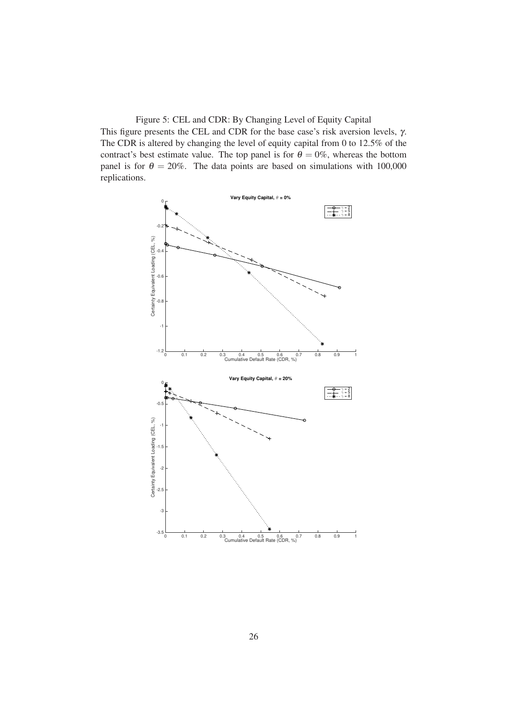<span id="page-29-0"></span>Figure 5: CEL and CDR: By Changing Level of Equity Capital

This figure presents the CEL and CDR for the base case's risk aversion levels, γ. The CDR is altered by changing the level of equity capital from 0 to 12.5% of the contract's best estimate value. The top panel is for  $\theta = 0\%$ , whereas the bottom panel is for  $\theta = 20\%$ . The data points are based on simulations with 100,000 replications.

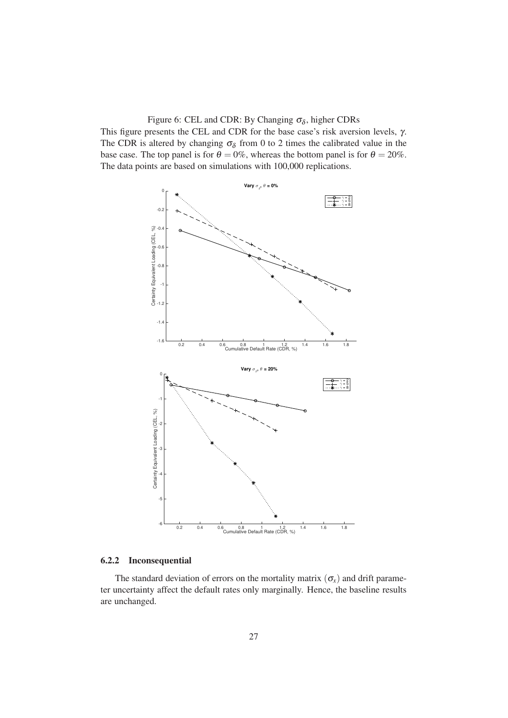<span id="page-30-0"></span>Figure 6: CEL and CDR: By Changing  $\sigma_{\delta}$ , higher CDRs

This figure presents the CEL and CDR for the base case's risk aversion levels, γ. The CDR is altered by changing  $\sigma_{\delta}$  from 0 to 2 times the calibrated value in the base case. The top panel is for  $\theta = 0\%$ , whereas the bottom panel is for  $\theta = 20\%$ . The data points are based on simulations with 100,000 replications.



#### 6.2.2 Inconsequential

The standard deviation of errors on the mortality matrix  $(\sigma_x)$  and drift parameter uncertainty affect the default rates only marginally. Hence, the baseline results are unchanged.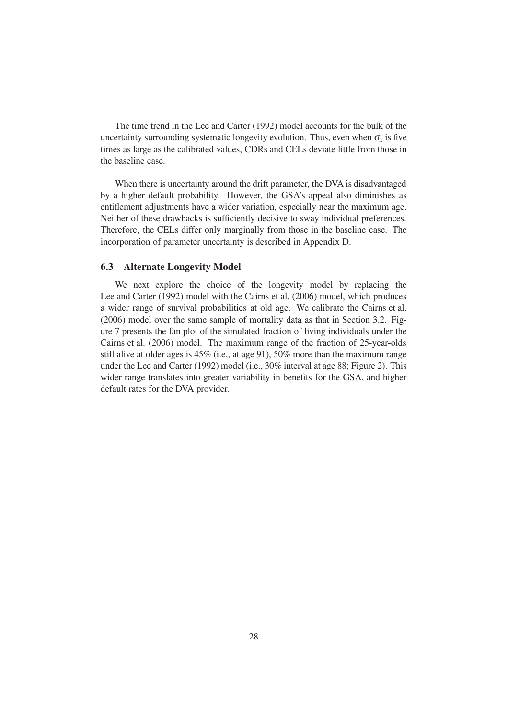The time trend in the [Lee and Carter](#page-40-3) [\(1992](#page-40-3)) model accounts for the bulk of the uncertainty surrounding systematic longevity evolution. Thus, even when  $\sigma_{\rm x}$  is five times as large as the calibrated values, CDRs and CELs deviate little from those in the baseline case.

When there is uncertainty around the drift parameter, the DVA is disadvantaged by a higher default probability. However, the GSA's appeal also diminishes as entitlement adjustments have a wider variation, especially near the maximum age. Neither of these drawbacks is sufficiently decisive to sway individual preferences. Therefore, the CELs differ only marginally from those in the baseline case. The incorporation of parameter uncertainty is described in Appendix [D.](#page-50-1)

### 6.3 Alternate Longevity Model

We next explore the choice of the longevity model by replacing the [Lee and Carter \(1992](#page-40-3)) model with the [Cairns et al.](#page-38-9) [\(2006](#page-38-9)) model, which produces a wider range of survival probabilities at old age. We calibrate the [Cairns et al.](#page-38-9) [\(2006](#page-38-9)) model over the same sample of mortality data as that in Section [3.2.](#page-16-1) Figure [7](#page-32-0) presents the fan plot of the simulated fraction of living individuals under the [Cairns et al.](#page-38-9) [\(2006](#page-38-9)) model. The maximum range of the fraction of 25-year-olds still alive at older ages is 45% (i.e., at age 91), 50% more than the maximum range under the [Lee and Carter \(1992\)](#page-40-3) model (i.e., 30% interval at age 88; Figure [2\)](#page-18-1). This wider range translates into greater variability in benefits for the GSA, and higher default rates for the DVA provider.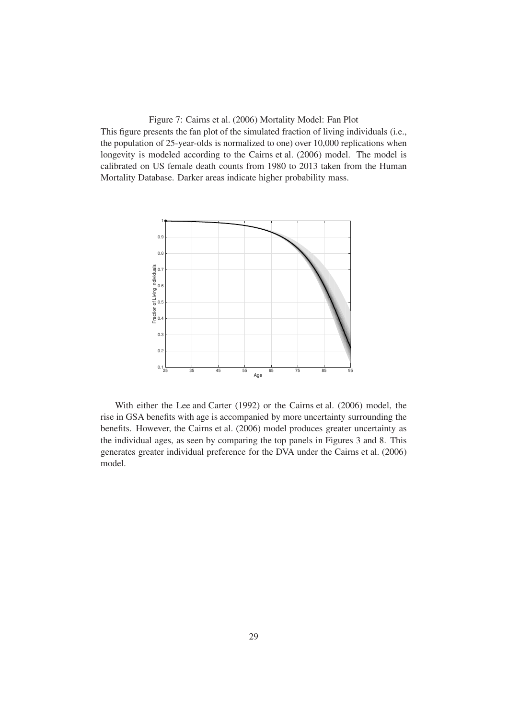<span id="page-32-0"></span>Figure 7: [Cairns et al. \(2006](#page-38-9)) Mortality Model: Fan Plot This figure presents the fan plot of the simulated fraction of living individuals (i.e., the population of 25-year-olds is normalized to one) over 10,000 replications when longevity is modeled according to the [Cairns et al. \(2006](#page-38-9)) model. The model is calibrated on US female death counts from 1980 to 2013 taken from the Human Mortality Database. Darker areas indicate higher probability mass.



With either the [Lee and Carter \(1992\)](#page-40-3) or the [Cairns et al. \(2006](#page-38-9)) model, the rise in GSA benefits with age is accompanied by more uncertainty surrounding the benefits. However, the [Cairns et al. \(2006\)](#page-38-9) model produces greater uncertainty as the individual ages, as seen by comparing the top panels in Figures [3](#page-20-0) and [8.](#page-33-0) This generates greater individual preference for the DVA under the [Cairns et al. \(2006\)](#page-38-9) model.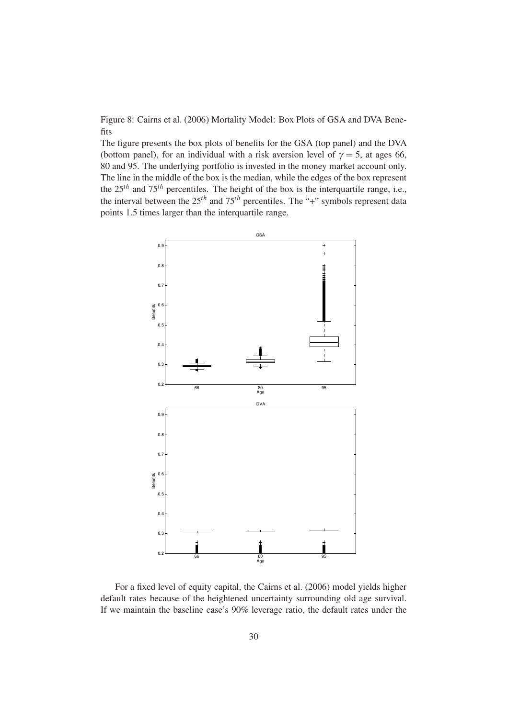<span id="page-33-0"></span>Figure 8: [Cairns et al. \(2006](#page-38-9)) Mortality Model: Box Plots of GSA and DVA Benefits

The figure presents the box plots of benefits for the GSA (top panel) and the DVA (bottom panel), for an individual with a risk aversion level of  $\gamma = 5$ , at ages 66, 80 and 95. The underlying portfolio is invested in the money market account only. The line in the middle of the box is the median, while the edges of the box represent the 25*th* and 75*th* percentiles. The height of the box is the interquartile range, i.e., the interval between the  $25<sup>th</sup>$  and  $75<sup>th</sup>$  percentiles. The "+" symbols represent data points 1.5 times larger than the interquartile range.



For a fixed level of equity capital, the [Cairns et al. \(2006\)](#page-38-9) model yields higher default rates because of the heightened uncertainty surrounding old age survival. If we maintain the baseline case's 90% leverage ratio, the default rates under the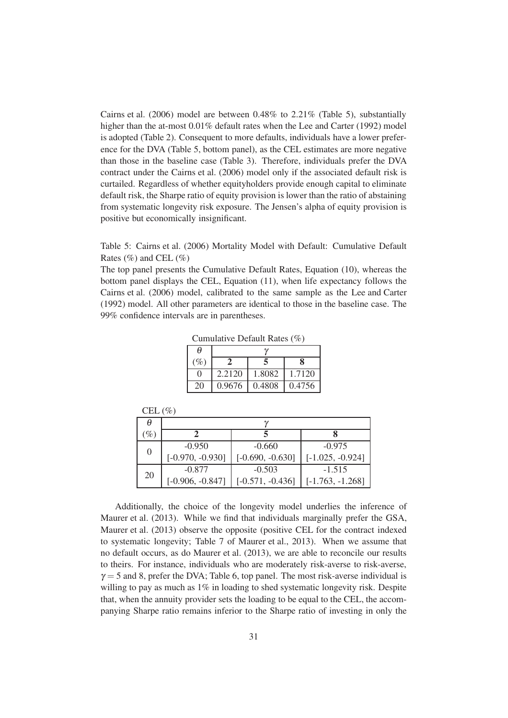[Cairns et al.](#page-38-9) [\(2006](#page-38-9)) model are between  $0.48\%$  to  $2.21\%$  (Table [5\)](#page-34-0), substantially higher than the at-most 0.01% default rates when the [Lee and Carter \(1992\)](#page-40-3) model is adopted (Table [2\)](#page-23-2). Consequent to more defaults, individuals have a lower preference for the DVA (Table [5,](#page-34-0) bottom panel), as the CEL estimates are more negative than those in the baseline case (Table [3\)](#page-23-0). Therefore, individuals prefer the DVA contract under the [Cairns et al. \(2006\)](#page-38-9) model only if the associated default risk is curtailed. Regardless of whether equityholders provide enough capital to eliminate default risk, the Sharpe ratio of equity provision is lower than the ratio of abstaining from systematic longevity risk exposure. The Jensen's alpha of equity provision is positive but economically insignificant.

The top panel presents the Cumulative Default Rates, Equation [\(10\)](#page-21-2), whereas the bottom panel displays the CEL, Equation [\(11\)](#page-22-0), when life expectancy follows the [Cairns et al. \(2006\)](#page-38-9) model, calibrated to the same sample as the [Lee and Carter](#page-40-3) [\(1992](#page-40-3)) model. All other parameters are identical to those in the baseline case. The 99% confidence intervals are in parentheses.

| A      |        |        |        |
|--------|--------|--------|--------|
| $(\%)$ |        |        |        |
|        | 2.2120 | 1.8082 | 1.7120 |
| 20     | 0.9676 | 0.4808 | 0.4756 |

 $CET$  ( $\emptyset$ )

Cumulative Default Rates (%)

| CEL $(70)$ |                    |                    |                    |
|------------|--------------------|--------------------|--------------------|
| Ĥ          |                    |                    |                    |
| $(\%)$     |                    |                    |                    |
| $\theta$   | $-0.950$           | $-0.660$           | $-0.975$           |
|            | $[-0.970, -0.930]$ | $[-0.690, -0.630]$ | $[-1.025, -0.924]$ |
| 20         | $-0.877$           | $-0.503$           | $-1.515$           |
|            | $[-0.906, -0.847]$ | $[-0.571, -0.436]$ | $[-1.763, -1.268]$ |

Additionally, the choice of the longevity model underlies the inference of [Maurer et al. \(2013\)](#page-40-1). While we find that individuals marginally prefer the GSA, [Maurer et al. \(2013\)](#page-40-1) observe the opposite (positive CEL for the contract indexed to systematic longevity; Table 7 of [Maurer et al.](#page-40-1), [2013\)](#page-40-1). When we assume that no default occurs, as do [Maurer et al.](#page-40-1) [\(2013](#page-40-1)), we are able to reconcile our results to theirs. For instance, individuals who are moderately risk-averse to risk-averse,  $\gamma = 5$  and 8, prefer the DVA; Table [6,](#page-35-1) top panel. The most risk-averse individual is willing to pay as much as 1% in loading to shed systematic longevity risk. Despite that, when the annuity provider sets the loading to be equal to the CEL, the accompanying Sharpe ratio remains inferior to the Sharpe ratio of investing in only the

<span id="page-34-0"></span>Table 5: [Cairns et al. \(2006\)](#page-38-9) Mortality Model with Default: Cumulative Default Rates  $(\% )$  and CEL  $(\% )$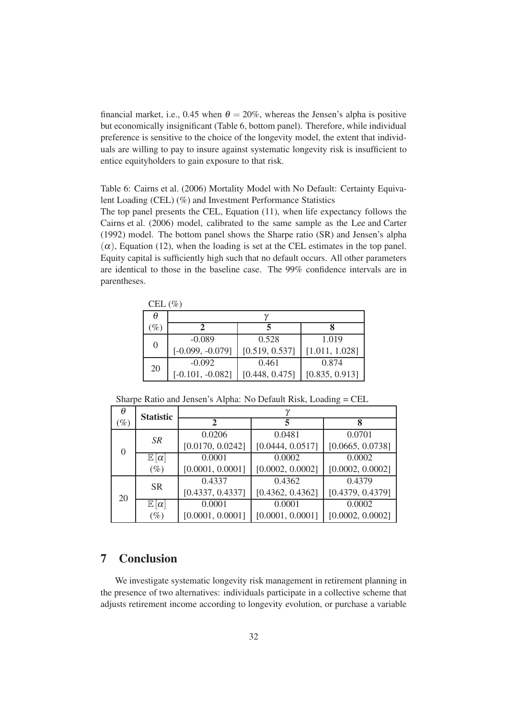financial market, i.e., 0.45 when  $\theta = 20\%$ , whereas the Jensen's alpha is positive but economically insignificant (Table [6,](#page-35-1) bottom panel). Therefore, while individual preference is sensitive to the choice of the longevity model, the extent that individuals are willing to pay to insure against systematic longevity risk is insufficient to entice equityholders to gain exposure to that risk.

<span id="page-35-1"></span>Table 6: [Cairns et al. \(2006](#page-38-9)) Mortality Model with No Default: Certainty Equivalent Loading (CEL) (%) and Investment Performance Statistics

The top panel presents the CEL, Equation [\(11\)](#page-22-0), when life expectancy follows the [Cairns et al. \(2006\)](#page-38-9) model, calibrated to the same sample as the [Lee and Carter](#page-40-3) [\(1992](#page-40-3)) model. The bottom panel shows the Sharpe ratio (SR) and Jensen's alpha  $(\alpha)$ , Equation [\(12\)](#page-24-0), when the loading is set at the CEL estimates in the top panel. Equity capital is sufficiently high such that no default occurs. All other parameters are identical to those in the baseline case. The 99% confidence intervals are in parentheses.

| CEL $(\% )$ |  |
|-------------|--|
| A           |  |
| $(O_0)$     |  |

| U               |                    |                |                |
|-----------------|--------------------|----------------|----------------|
| $\mathscr{D}_o$ |                    |                |                |
| 0               | $-0.089$           | 0.528          | 1.019          |
|                 | $[-0.099, -0.079]$ | [0.519, 0.537] | [1.011, 1.028] |
| 20              | $-0.092$           | 0.461          | 0.874          |
|                 | $[-0.101, -0.082]$ | [0.448, 0.475] | [0.835, 0.913] |

Sharpe Ratio and Jensen's Alpha: No Default Risk, Loading = CEL

| θ      | <b>Statistic</b>     | $\gamma$         |                  |                  |
|--------|----------------------|------------------|------------------|------------------|
| $(\%)$ |                      |                  | 5                | 8                |
|        | SR                   | 0.0206           | 0.0481           | 0.0701           |
|        |                      | [0.0170, 0.0242] | [0.0444, 0.0517] | [0.0665, 0.0738] |
|        | $\mathbb{E}[\alpha]$ | 0.0001           | 0.0002           | 0.0002           |
|        | $(\%)$               | [0.0001, 0.0001] | [0.0002, 0.0002] | [0.0002, 0.0002] |
|        | <b>SR</b>            | 0.4337           | 0.4362           | 0.4379           |
| 20     |                      | [0.4337, 0.4337] | [0.4362, 0.4362] | [0.4379, 0.4379] |
|        | $\mathbb{E}[\alpha]$ | 0.0001           | 0.0001           | 0.0002           |
|        | $(\%)$               | [0.0001, 0.0001] | [0.0001, 0.0001] | [0.0002, 0.0002] |

# <span id="page-35-0"></span>7 Conclusion

We investigate systematic longevity risk management in retirement planning in the presence of two alternatives: individuals participate in a collective scheme that adjusts retirement income according to longevity evolution, or purchase a variable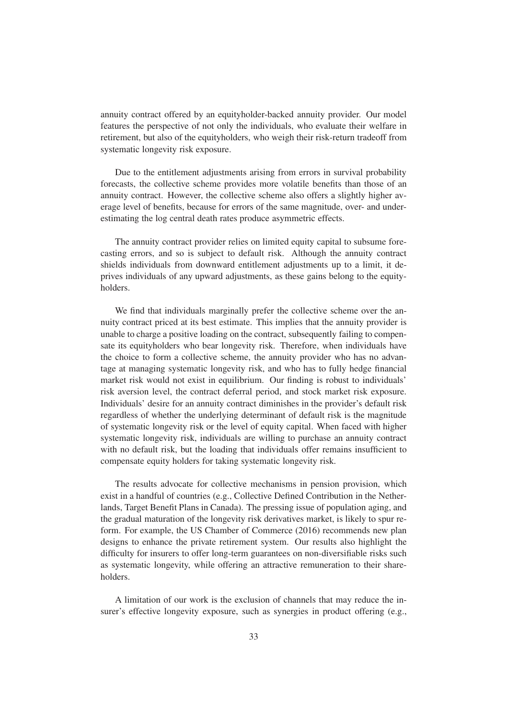annuity contract offered by an equityholder-backed annuity provider. Our model features the perspective of not only the individuals, who evaluate their welfare in retirement, but also of the equityholders, who weigh their risk-return tradeoff from systematic longevity risk exposure.

Due to the entitlement adjustments arising from errors in survival probability forecasts, the collective scheme provides more volatile benefits than those of an annuity contract. However, the collective scheme also offers a slightly higher average level of benefits, because for errors of the same magnitude, over- and underestimating the log central death rates produce asymmetric effects.

The annuity contract provider relies on limited equity capital to subsume forecasting errors, and so is subject to default risk. Although the annuity contract shields individuals from downward entitlement adjustments up to a limit, it deprives individuals of any upward adjustments, as these gains belong to the equityholders.

We find that individuals marginally prefer the collective scheme over the annuity contract priced at its best estimate. This implies that the annuity provider is unable to charge a positive loading on the contract, subsequently failing to compensate its equityholders who bear longevity risk. Therefore, when individuals have the choice to form a collective scheme, the annuity provider who has no advantage at managing systematic longevity risk, and who has to fully hedge financial market risk would not exist in equilibrium. Our finding is robust to individuals' risk aversion level, the contract deferral period, and stock market risk exposure. Individuals' desire for an annuity contract diminishes in the provider's default risk regardless of whether the underlying determinant of default risk is the magnitude of systematic longevity risk or the level of equity capital. When faced with higher systematic longevity risk, individuals are willing to purchase an annuity contract with no default risk, but the loading that individuals offer remains insufficient to compensate equity holders for taking systematic longevity risk.

The results advocate for collective mechanisms in pension provision, which exist in a handful of countries (e.g., Collective Defined Contribution in the Netherlands, Target Benefit Plans in Canada). The pressing issue of population aging, and the gradual maturation of the longevity risk derivatives market, is likely to spur reform. For example, the US Chamber of Commerce (2016) recommends new plan designs to enhance the private retirement system. Our results also highlight the difficulty for insurers to offer long-term guarantees on non-diversifiable risks such as systematic longevity, while offering an attractive remuneration to their shareholders.

A limitation of our work is the exclusion of channels that may reduce the insurer's effective longevity exposure, such as synergies in product offering (e.g.,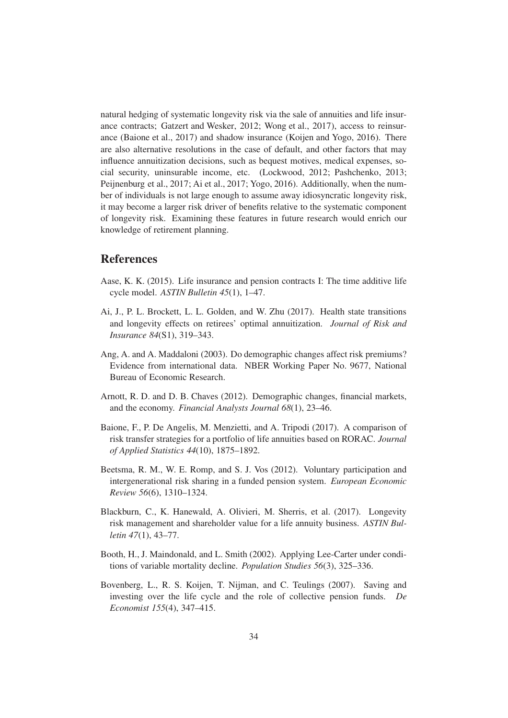natural hedging of systematic longevity risk via the sale of annuities and life insurance contracts; [Gatzert and Wesker](#page-39-9), [2012;](#page-39-9) [Wong et al.](#page-42-11), [2017\)](#page-42-11), access to reinsurance [\(Baione et al., 2017](#page-37-6)) and shadow insurance [\(Koijen and Yogo, 2016](#page-40-12)). There are also alternative resolutions in the case of default, and other factors that may influence annuitization decisions, such as bequest motives, medical expenses, social security, uninsurable income, etc. [\(Lockwood](#page-40-13), [2012;](#page-40-13) [Pashchenko](#page-41-12), [2013](#page-41-12); [Peijnenburg et al.](#page-41-13), [2017;](#page-41-13) [Ai et al.](#page-37-7), [2017;](#page-37-7) [Yogo](#page-43-4), [2016\)](#page-43-4). Additionally, when the number of individuals is not large enough to assume away idiosyncratic longevity risk, it may become a larger risk driver of benefits relative to the systematic component of longevity risk. Examining these features in future research would enrich our knowledge of retirement planning.

# References

- <span id="page-37-8"></span>Aase, K. K. (2015). Life insurance and pension contracts I: The time additive life cycle model. *ASTIN Bulletin 45*(1), 1–47.
- <span id="page-37-7"></span>Ai, J., P. L. Brockett, L. L. Golden, and W. Zhu (2017). Health state transitions and longevity effects on retirees' optimal annuitization. *Journal of Risk and Insurance 84*(S1), 319–343.
- <span id="page-37-3"></span>Ang, A. and A. Maddaloni (2003). Do demographic changes affect risk premiums? Evidence from international data. NBER Working Paper No. 9677, National Bureau of Economic Research.
- <span id="page-37-4"></span>Arnott, R. D. and D. B. Chaves (2012). Demographic changes, financial markets, and the economy. *Financial Analysts Journal 68*(1), 23–46.
- <span id="page-37-6"></span>Baione, F., P. De Angelis, M. Menzietti, and A. Tripodi (2017). A comparison of risk transfer strategies for a portfolio of life annuities based on RORAC. *Journal of Applied Statistics 44*(10), 1875–1892.
- <span id="page-37-2"></span>Beetsma, R. M., W. E. Romp, and S. J. Vos (2012). Voluntary participation and intergenerational risk sharing in a funded pension system. *European Economic Review 56*(6), 1310–1324.
- <span id="page-37-1"></span>Blackburn, C., K. Hanewald, A. Olivieri, M. Sherris, et al. (2017). Longevity risk management and shareholder value for a life annuity business. *ASTIN Bulletin 47*(1), 43–77.
- <span id="page-37-5"></span>Booth, H., J. Maindonald, and L. Smith (2002). Applying Lee-Carter under conditions of variable mortality decline. *Population Studies 56*(3), 325–336.
- <span id="page-37-0"></span>Bovenberg, L., R. S. Koijen, T. Nijman, and C. Teulings (2007). Saving and investing over the life cycle and the role of collective pension funds. *De Economist 155*(4), 347–415.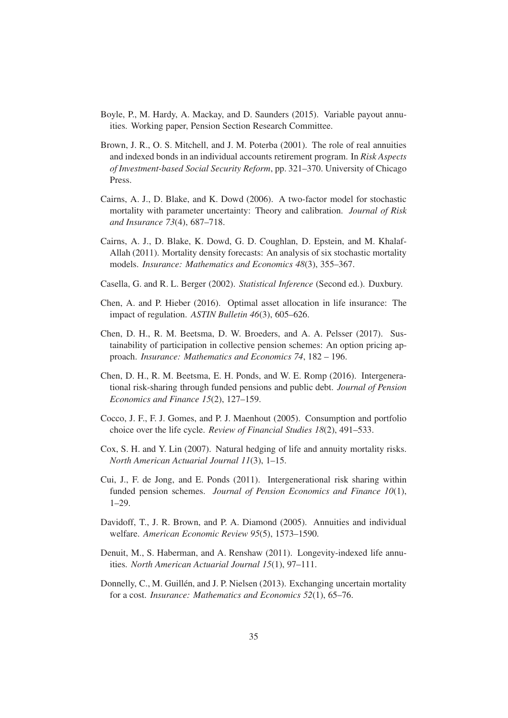- <span id="page-38-2"></span>Boyle, P., M. Hardy, A. Mackay, and D. Saunders (2015). Variable payout annuities. Working paper, Pension Section Research Committee.
- <span id="page-38-11"></span>Brown, J. R., O. S. Mitchell, and J. M. Poterba (2001). The role of real annuities and indexed bonds in an individual accounts retirement program. In *Risk Aspects of Investment-based Social Security Reform*, pp. 321–370. University of Chicago Press.
- <span id="page-38-9"></span>Cairns, A. J., D. Blake, and K. Dowd (2006). A two-factor model for stochastic mortality with parameter uncertainty: Theory and calibration. *Journal of Risk and Insurance 73*(4), 687–718.
- <span id="page-38-10"></span>Cairns, A. J., D. Blake, K. Dowd, G. D. Coughlan, D. Epstein, and M. Khalaf-Allah (2011). Mortality density forecasts: An analysis of six stochastic mortality models. *Insurance: Mathematics and Economics 48*(3), 355–367.
- <span id="page-38-13"></span>Casella, G. and R. L. Berger (2002). *Statistical Inference* (Second ed.). Duxbury.
- <span id="page-38-4"></span>Chen, A. and P. Hieber (2016). Optimal asset allocation in life insurance: The impact of regulation. *ASTIN Bulletin 46*(3), 605–626.
- <span id="page-38-6"></span>Chen, D. H., R. M. Beetsma, D. W. Broeders, and A. A. Pelsser (2017). Sustainability of participation in collective pension schemes: An option pricing approach. *Insurance: Mathematics and Economics 74*, 182 – 196.
- <span id="page-38-7"></span>Chen, D. H., R. M. Beetsma, E. H. Ponds, and W. E. Romp (2016). Intergenerational risk-sharing through funded pensions and public debt. *Journal of Pension Economics and Finance 15*(2), 127–159.
- <span id="page-38-12"></span>Cocco, J. F., F. J. Gomes, and P. J. Maenhout (2005). Consumption and portfolio choice over the life cycle. *Review of Financial Studies 18*(2), 491–533.
- <span id="page-38-8"></span>Cox, S. H. and Y. Lin (2007). Natural hedging of life and annuity mortality risks. *North American Actuarial Journal 11*(3), 1–15.
- <span id="page-38-5"></span>Cui, J., F. de Jong, and E. Ponds (2011). Intergenerational risk sharing within funded pension schemes. *Journal of Pension Economics and Finance 10*(1), 1–29.
- <span id="page-38-0"></span>Davidoff, T., J. R. Brown, and P. A. Diamond (2005). Annuities and individual welfare. *American Economic Review 95*(5), 1573–1590.
- <span id="page-38-1"></span>Denuit, M., S. Haberman, and A. Renshaw (2011). Longevity-indexed life annuities. *North American Actuarial Journal 15*(1), 97–111.
- <span id="page-38-3"></span>Donnelly, C., M. Guillén, and J. P. Nielsen (2013). Exchanging uncertain mortality for a cost. *Insurance: Mathematics and Economics 52*(1), 65–76.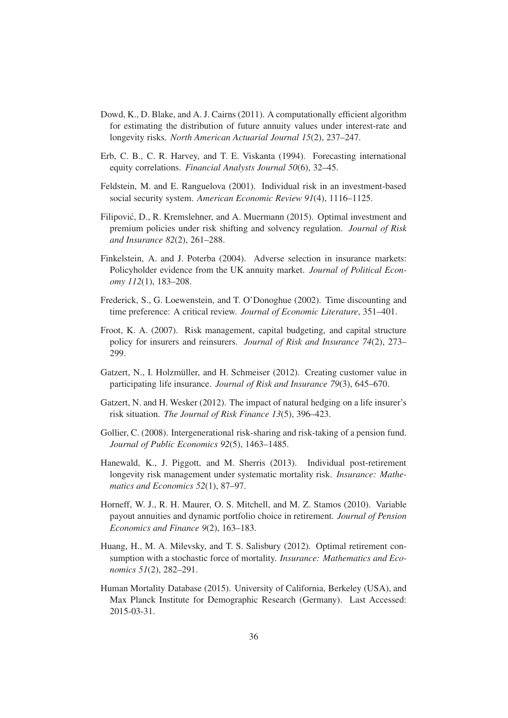- <span id="page-39-4"></span>Dowd, K., D. Blake, and A. J. Cairns (2011). A computationally efficient algorithm for estimating the distribution of future annuity values under interest-rate and longevity risks. *North American Actuarial Journal 15*(2), 237–247.
- <span id="page-39-3"></span>Erb, C. B., C. R. Harvey, and T. E. Viskanta (1994). Forecasting international equity correlations. *Financial Analysts Journal 50*(6), 32–45.
- <span id="page-39-7"></span>Feldstein, M. and E. Ranguelova (2001). Individual risk in an investment-based social security system. *American Economic Review 91*(4), 1116–1125.
- <span id="page-39-1"></span>Filipović, D., R. Kremslehner, and A. Muermann (2015). Optimal investment and premium policies under risk shifting and solvency regulation. *Journal of Risk and Insurance 82*(2), 261–288.
- <span id="page-39-8"></span>Finkelstein, A. and J. Poterba (2004). Adverse selection in insurance markets: Policyholder evidence from the UK annuity market. *Journal of Political Economy 112*(1), 183–208.
- <span id="page-39-6"></span>Frederick, S., G. Loewenstein, and T. O'Donoghue (2002). Time discounting and time preference: A critical review. *Journal of Economic Literature*, 351–401.
- <span id="page-39-11"></span>Froot, K. A. (2007). Risk management, capital budgeting, and capital structure policy for insurers and reinsurers. *Journal of Risk and Insurance 74*(2), 273– 299.
- <span id="page-39-12"></span>Gatzert, N., I. Holzmüller, and H. Schmeiser (2012). Creating customer value in participating life insurance. *Journal of Risk and Insurance 79*(3), 645–670.
- <span id="page-39-9"></span>Gatzert, N. and H. Wesker (2012). The impact of natural hedging on a life insurer's risk situation. *The Journal of Risk Finance 13*(5), 396–423.
- <span id="page-39-2"></span>Gollier, C. (2008). Intergenerational risk-sharing and risk-taking of a pension fund. *Journal of Public Economics 92*(5), 1463–1485.
- <span id="page-39-0"></span>Hanewald, K., J. Piggott, and M. Sherris (2013). Individual post-retirement longevity risk management under systematic mortality risk. *Insurance: Mathematics and Economics 52*(1), 87–97.
- <span id="page-39-5"></span>Horneff, W. J., R. H. Maurer, O. S. Mitchell, and M. Z. Stamos (2010). Variable payout annuities and dynamic portfolio choice in retirement. *Journal of Pension Economics and Finance 9*(2), 163–183.
- <span id="page-39-10"></span>Huang, H., M. A. Milevsky, and T. S. Salisbury (2012). Optimal retirement consumption with a stochastic force of mortality. *Insurance: Mathematics and Economics 51*(2), 282–291.
- Human Mortality Database (2015). University of California, Berkeley (USA), and Max Planck Institute for Demographic Research (Germany). Last Accessed: 2015-03-31.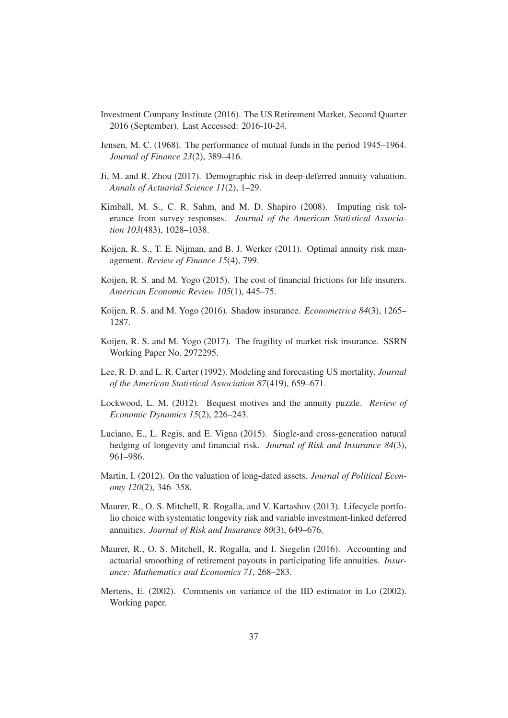- Investment Company Institute (2016). The US Retirement Market, Second Quarter 2016 (September). Last Accessed: 2016-10-24.
- <span id="page-40-10"></span>Jensen, M. C. (1968). The performance of mutual funds in the period 1945–1964. *Journal of Finance 23*(2), 389–416.
- <span id="page-40-4"></span>Ji, M. and R. Zhou (2017). Demographic risk in deep-deferred annuity valuation. *Annals of Actuarial Science 11*(2), 1–29.
- <span id="page-40-6"></span>Kimball, M. S., C. R. Sahm, and M. D. Shapiro (2008). Imputing risk tolerance from survey responses. *Journal of the American Statistical Association 103*(483), 1028–1038.
- <span id="page-40-7"></span>Koijen, R. S., T. E. Nijman, and B. J. Werker (2011). Optimal annuity risk management. *Review of Finance 15*(4), 799.
- <span id="page-40-8"></span>Koijen, R. S. and M. Yogo (2015). The cost of financial frictions for life insurers. *American Economic Review 105*(1), 445–75.
- <span id="page-40-12"></span>Koijen, R. S. and M. Yogo (2016). Shadow insurance. *Econometrica 84*(3), 1265– 1287.
- <span id="page-40-0"></span>Koijen, R. S. and M. Yogo (2017). The fragility of market risk insurance. SSRN Working Paper No. 2972295.
- <span id="page-40-3"></span>Lee, R. D. and L. R. Carter (1992). Modeling and forecasting US mortality. *Journal of the American Statistical Association 87*(419), 659–671.
- <span id="page-40-13"></span>Lockwood, L. M. (2012). Bequest motives and the annuity puzzle. *Review of Economic Dynamics 15*(2), 226–243.
- <span id="page-40-2"></span>Luciano, E., L. Regis, and E. Vigna (2015). Single-and cross-generation natural hedging of longevity and financial risk. *Journal of Risk and Insurance 84*(3), 961–986.
- <span id="page-40-11"></span>Martin, I. (2012). On the valuation of long-dated assets. *Journal of Political Economy 120*(2), 346–358.
- <span id="page-40-1"></span>Maurer, R., O. S. Mitchell, R. Rogalla, and V. Kartashov (2013). Lifecycle portfolio choice with systematic longevity risk and variable investment-linked deferred annuities. *Journal of Risk and Insurance 80*(3), 649–676.
- <span id="page-40-5"></span>Maurer, R., O. S. Mitchell, R. Rogalla, and I. Siegelin (2016). Accounting and actuarial smoothing of retirement payouts in participating life annuities. *Insurance: Mathematics and Economics 71*, 268–283.
- <span id="page-40-9"></span>Mertens, E. (2002). Comments on variance of the IID estimator in Lo (2002). Working paper.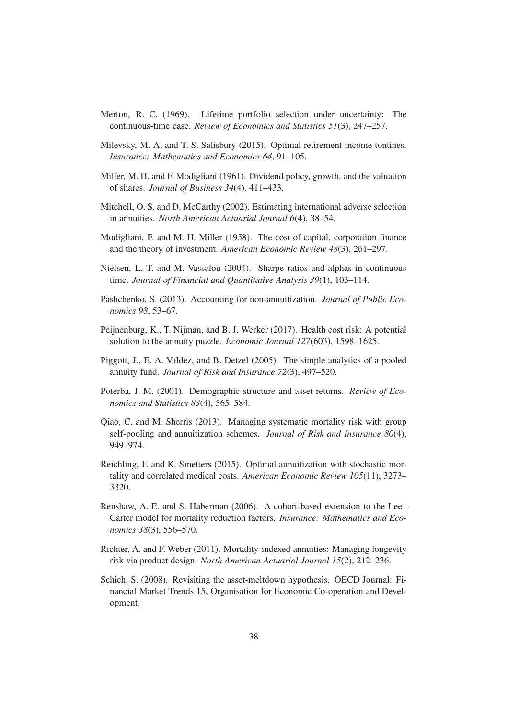- <span id="page-41-14"></span>Merton, R. C. (1969). Lifetime portfolio selection under uncertainty: The continuous-time case. *Review of Economics and Statistics 51*(3), 247–257.
- <span id="page-41-4"></span>Milevsky, M. A. and T. S. Salisbury (2015). Optimal retirement income tontines. *Insurance: Mathematics and Economics 64*, 91–105.
- <span id="page-41-6"></span>Miller, M. H. and F. Modigliani (1961). Dividend policy, growth, and the valuation of shares. *Journal of Business 34*(4), 411–433.
- <span id="page-41-10"></span>Mitchell, O. S. and D. McCarthy (2002). Estimating international adverse selection in annuities. *North American Actuarial Journal 6*(4), 38–54.
- <span id="page-41-5"></span>Modigliani, F. and M. H. Miller (1958). The cost of capital, corporation finance and the theory of investment. *American Economic Review 48*(3), 261–297.
- <span id="page-41-11"></span>Nielsen, L. T. and M. Vassalou (2004). Sharpe ratios and alphas in continuous time. *Journal of Financial and Quantitative Analysis 39*(1), 103–114.
- <span id="page-41-12"></span>Pashchenko, S. (2013). Accounting for non-annuitization. *Journal of Public Economics 98*, 53–67.
- <span id="page-41-13"></span>Peijnenburg, K., T. Nijman, and B. J. Werker (2017). Health cost risk: A potential solution to the annuity puzzle. *Economic Journal 127*(603), 1598–1625.
- <span id="page-41-1"></span>Piggott, J., E. A. Valdez, and B. Detzel (2005). The simple analytics of a pooled annuity fund. *Journal of Risk and Insurance 72*(3), 497–520.
- <span id="page-41-8"></span>Poterba, J. M. (2001). Demographic structure and asset returns. *Review of Economics and Statistics 83*(4), 565–584.
- <span id="page-41-3"></span>Qiao, C. and M. Sherris (2013). Managing systematic mortality risk with group self-pooling and annuitization schemes. *Journal of Risk and Insurance 80*(4), 949–974.
- <span id="page-41-0"></span>Reichling, F. and K. Smetters (2015). Optimal annuitization with stochastic mortality and correlated medical costs. *American Economic Review 105*(11), 3273– 3320.
- <span id="page-41-7"></span>Renshaw, A. E. and S. Haberman (2006). A cohort-based extension to the Lee– Carter model for mortality reduction factors. *Insurance: Mathematics and Economics 38*(3), 556–570.
- <span id="page-41-2"></span>Richter, A. and F. Weber (2011). Mortality-indexed annuities: Managing longevity risk via product design. *North American Actuarial Journal 15*(2), 212–236.
- <span id="page-41-9"></span>Schich, S. (2008). Revisiting the asset-meltdown hypothesis. OECD Journal: Financial Market Trends 15, Organisation for Economic Co-operation and Development.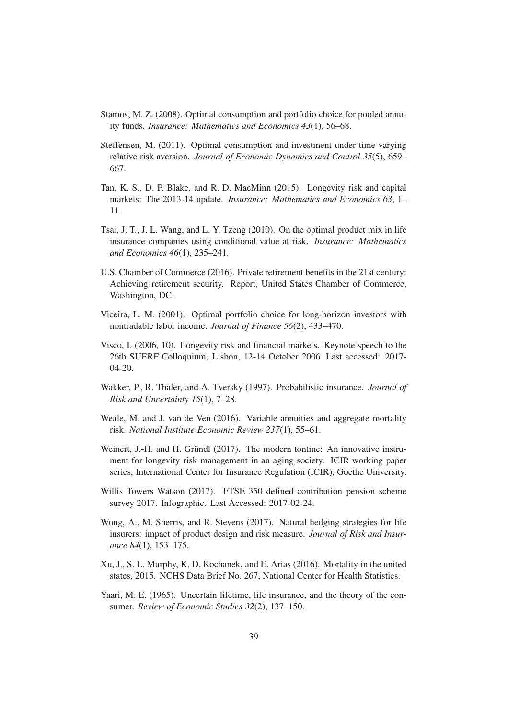- <span id="page-42-3"></span>Stamos, M. Z. (2008). Optimal consumption and portfolio choice for pooled annuity funds. *Insurance: Mathematics and Economics 43*(1), 56–68.
- <span id="page-42-10"></span>Steffensen, M. (2011). Optimal consumption and investment under time-varying relative risk aversion. *Journal of Economic Dynamics and Control 35*(5), 659– 667.
- <span id="page-42-0"></span>Tan, K. S., D. P. Blake, and R. D. MacMinn (2015). Longevity risk and capital markets: The 2013-14 update. *Insurance: Mathematics and Economics 63*, 1– 11.
- <span id="page-42-5"></span>Tsai, J. T., J. L. Wang, and L. Y. Tzeng (2010). On the optimal product mix in life insurance companies using conditional value at risk. *Insurance: Mathematics and Economics 46*(1), 235–241.
- U.S. Chamber of Commerce (2016). Private retirement benefits in the 21st century: Achieving retirement security. Report, United States Chamber of Commerce, Washington, DC.
- <span id="page-42-9"></span>Viceira, L. M. (2001). Optimal portfolio choice for long-horizon investors with nontradable labor income. *Journal of Finance 56*(2), 433–470.
- <span id="page-42-7"></span>Visco, I. (2006, 10). Longevity risk and financial markets. Keynote speech to the 26th SUERF Colloquium, Lisbon, 12-14 October 2006. Last accessed: 2017- 04-20.
- <span id="page-42-8"></span>Wakker, P., R. Thaler, and A. Tversky (1997). Probabilistic insurance. *Journal of Risk and Uncertainty 15*(1), 7–28.
- <span id="page-42-2"></span>Weale, M. and J. van de Ven (2016). Variable annuities and aggregate mortality risk. *National Institute Economic Review 237*(1), 55–61.
- <span id="page-42-4"></span>Weinert, J.-H. and H. Gründl (2017). The modern tontine: An innovative instrument for longevity risk management in an aging society. ICIR working paper series, International Center for Insurance Regulation (ICIR), Goethe University.
- Willis Towers Watson (2017). FTSE 350 defined contribution pension scheme survey 2017. Infographic. Last Accessed: 2017-02-24.
- <span id="page-42-11"></span>Wong, A., M. Sherris, and R. Stevens (2017). Natural hedging strategies for life insurers: impact of product design and risk measure. *Journal of Risk and Insurance 84*(1), 153–175.
- <span id="page-42-6"></span>Xu, J., S. L. Murphy, K. D. Kochanek, and E. Arias (2016). Mortality in the united states, 2015. NCHS Data Brief No. 267, National Center for Health Statistics.
- <span id="page-42-1"></span>Yaari, M. E. (1965). Uncertain lifetime, life insurance, and the theory of the consumer. *Review of Economic Studies 32*(2), 137–150.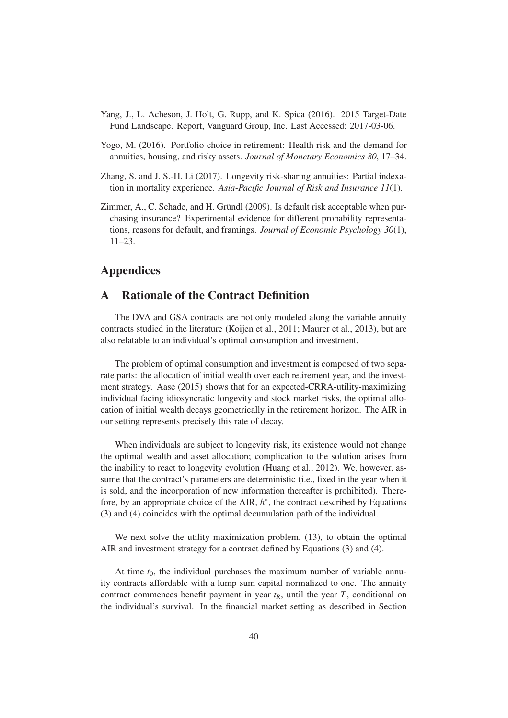- <span id="page-43-3"></span>Yang, J., L. Acheson, J. Holt, G. Rupp, and K. Spica (2016). 2015 Target-Date Fund Landscape. Report, Vanguard Group, Inc. Last Accessed: 2017-03-06.
- <span id="page-43-4"></span>Yogo, M. (2016). Portfolio choice in retirement: Health risk and the demand for annuities, housing, and risky assets. *Journal of Monetary Economics 80*, 17–34.
- <span id="page-43-1"></span>Zhang, S. and J. S.-H. Li (2017). Longevity risk-sharing annuities: Partial indexation in mortality experience. *Asia-Pacific Journal of Risk and Insurance 11*(1).
- <span id="page-43-0"></span>Zimmer, A., C. Schade, and H. Gründl (2009). Is default risk acceptable when purchasing insurance? Experimental evidence for different probability representations, reasons for default, and framings. *Journal of Economic Psychology 30*(1), 11–23.

# <span id="page-43-2"></span>Appendices

# A Rationale of the Contract Definition

The DVA and GSA contracts are not only modeled along the variable annuity contracts studied in the literature [\(Koijen et al., 2011](#page-40-7); [Maurer et al.](#page-40-1), [2013](#page-40-1)), but are also relatable to an individual's optimal consumption and investment.

The problem of optimal consumption and investment is composed of two separate parts: the allocation of initial wealth over each retirement year, and the investment strategy. [Aase \(2015\)](#page-37-8) shows that for an expected-CRRA-utility-maximizing individual facing idiosyncratic longevity and stock market risks, the optimal allocation of initial wealth decays geometrically in the retirement horizon. The AIR in our setting represents precisely this rate of decay.

When individuals are subject to longevity risk, its existence would not change the optimal wealth and asset allocation; complication to the solution arises from the inability to react to longevity evolution [\(Huang et al.](#page-39-10), [2012](#page-39-10)). We, however, assume that the contract's parameters are deterministic (i.e., fixed in the year when it is sold, and the incorporation of new information thereafter is prohibited). Therefore, by an appropriate choice of the AIR,  $h^*$ , the contract described by Equations [\(3\)](#page-12-1) and [\(4\)](#page-12-0) coincides with the optimal decumulation path of the individual.

We next solve the utility maximization problem,  $(13)$ , to obtain the optimal AIR and investment strategy for a contract defined by Equations [\(3\)](#page-12-1) and [\(4\)](#page-12-0).

At time  $t_0$ , the individual purchases the maximum number of variable annuity contracts affordable with a lump sum capital normalized to one. The annuity contract commences benefit payment in year  $t_R$ , until the year  $T$ , conditional on the individual's survival. In the financial market setting as described in Section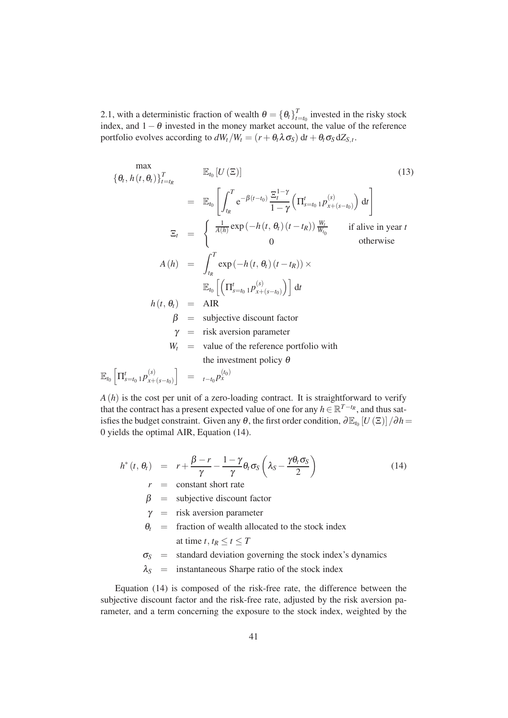[2.1,](#page-9-0) with a deterministic fraction of wealth  $\theta = \{\theta_t\}_{t=1}^T$  $t_{t=t_0}$  invested in the risky stock index, and  $1-\theta$  invested in the money market account, the value of the reference portfolio evolves according to  $dW_t/W_t = (r + \theta_t \lambda \sigma_s) dt + \theta_t \sigma_s dZ_{S,t}$ .

<span id="page-44-0"></span>
$$
\begin{aligned}\n\{\theta_t, h(t, \theta_t)\}_{t=t_R}^T & \mathbb{E}_{t_0} \left[ U(\Xi) \right] \tag{13} \\
&= \mathbb{E}_{t_0} \left[ \int_{t_R}^T e^{-\beta(t-t_0)} \frac{\Xi_t^{1-\gamma}}{1-\gamma} \left( \Pi_{s=t_0}^t \cdot p_{x+(s-t_0)}^{(s)} \right) dt \right] \\
\Xi_t &= \begin{cases}\n\frac{1}{A(h)} \exp\left( -h(t, \theta_t) (t-t_R) \right) \frac{W_t}{W_{t_0}} & \text{if alive in year } t \\
0 & \text{otherwise}\n\end{cases} \\
A(h) &= \int_{t_R}^T \exp\left( -h(t, \theta_t) (t-t_R) \right) \times \\
\mathbb{E}_{t_0} \left[ \left( \Pi_{s=t_0}^t \cdot p_{x+(s-t_0)}^{(s)} \right) \right] dt \\
h(t, \theta_t) &= \text{AIR} \\
\beta &= \text{subjective discount factor} \\
\gamma &= \text{risk aversion parameter} \\
W_t &= \text{value of the reference portfolio with} \\
\text{the investment policy } \theta \\
\mathbb{E}_{t_0} \left[ \Pi_{s=t_0}^t \cdot p_{x+(s-t_0)}^{(s)} \right] &= \frac{t-t_0 p_{x}^{(t_0)}}{1-\gamma} \\
\end{aligned}
$$
\n
$$
(13)
$$

 $A(h)$  is the cost per unit of a zero-loading contract. It is straightforward to verify that the contract has a present expected value of one for any  $h \in \mathbb{R}^{T-t_R}$ , and thus satisfies the budget constraint. Given any  $\theta$ , the first order condition,  $\partial \mathbb{E}_{t_0}[U(\Xi)]/\partial h$ 0 yields the optimal AIR, Equation [\(14\)](#page-44-1).

<span id="page-44-1"></span>
$$
h^*(t, \theta_t) = r + \frac{\beta - r}{\gamma} - \frac{1 - \gamma}{\gamma} \theta_t \sigma_S \left( \lambda_S - \frac{\gamma \theta_t \sigma_S}{2} \right)
$$
  
\n
$$
r = \text{constant short rate}
$$
 (14)

 $\beta$  = subjective discount factor

- $\gamma$  = risk aversion parameter
- $\theta_t$  = fraction of wealth allocated to the stock index at time *t*,  $t_R \le t \le T$
- $\sigma_S$  = standard deviation governing the stock index's dynamics
- $\lambda_S$  = instantaneous Sharpe ratio of the stock index

Equation [\(14\)](#page-44-1) is composed of the risk-free rate, the difference between the subjective discount factor and the risk-free rate, adjusted by the risk aversion parameter, and a term concerning the exposure to the stock index, weighted by the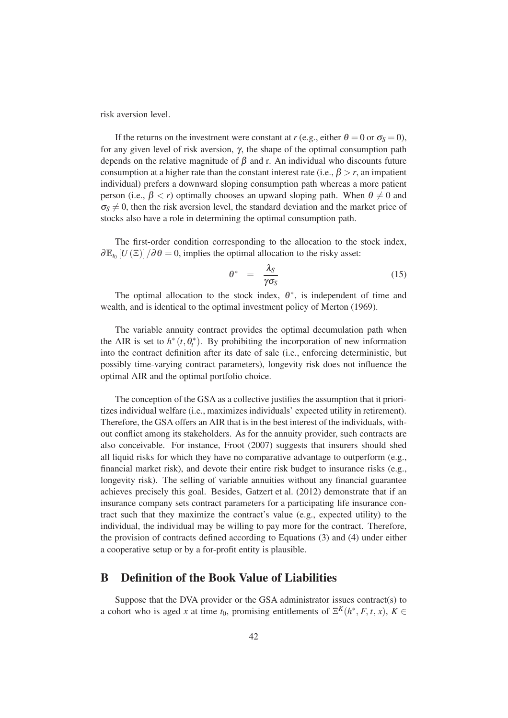risk aversion level.

If the returns on the investment were constant at *r* (e.g., either  $\theta = 0$  or  $\sigma_s = 0$ ), for any given level of risk aversion,  $\gamma$ , the shape of the optimal consumption path depends on the relative magnitude of  $\beta$  and r. An individual who discounts future consumption at a higher rate than the constant interest rate (i.e.,  $\beta > r$ , an impatient individual) prefers a downward sloping consumption path whereas a more patient person (i.e.,  $\beta < r$ ) optimally chooses an upward sloping path. When  $\theta \neq 0$  and  $\sigma_s \neq 0$ , then the risk aversion level, the standard deviation and the market price of stocks also have a role in determining the optimal consumption path.

The first-order condition corresponding to the allocation to the stock index,  $\partial \mathbb{E}_{t_0}[U(\Xi)]/\partial \theta = 0$ , implies the optimal allocation to the risky asset:

$$
\theta^* = \frac{\lambda_S}{\gamma \sigma_S} \tag{15}
$$

The optimal allocation to the stock index,  $\theta^*$ , is independent of time and wealth, and is identical to the optimal investment policy of [Merton](#page-41-14) [\(1969](#page-41-14)).

The variable annuity contract provides the optimal decumulation path when the AIR is set to  $h^*(t, \theta_t^*)$ . By prohibiting the incorporation of new information into the contract definition after its date of sale (i.e., enforcing deterministic, but possibly time-varying contract parameters), longevity risk does not influence the optimal AIR and the optimal portfolio choice.

The conception of the GSA as a collective justifies the assumption that it prioritizes individual welfare (i.e., maximizes individuals' expected utility in retirement). Therefore, the GSA offers an AIR that is in the best interest of the individuals, without conflict among its stakeholders. As for the annuity provider, such contracts are also conceivable. For instance, [Froot \(2007\)](#page-39-11) suggests that insurers should shed all liquid risks for which they have no comparative advantage to outperform (e.g., financial market risk), and devote their entire risk budget to insurance risks (e.g., longevity risk). The selling of variable annuities without any financial guarantee achieves precisely this goal. Besides, [Gatzert et al.](#page-39-12) [\(2012](#page-39-12)) demonstrate that if an insurance company sets contract parameters for a participating life insurance contract such that they maximize the contract's value (e.g., expected utility) to the individual, the individual may be willing to pay more for the contract. Therefore, the provision of contracts defined according to Equations [\(3\)](#page-12-1) and [\(4\)](#page-12-0) under either a cooperative setup or by a for-profit entity is plausible.

# <span id="page-45-0"></span>B Definition of the Book Value of Liabilities

Suppose that the DVA provider or the GSA administrator issues contract(s) to a cohort who is aged *x* at time  $t_0$ , promising entitlements of  $\mathbb{E}^K(h^*, F, t, x)$ ,  $K \in$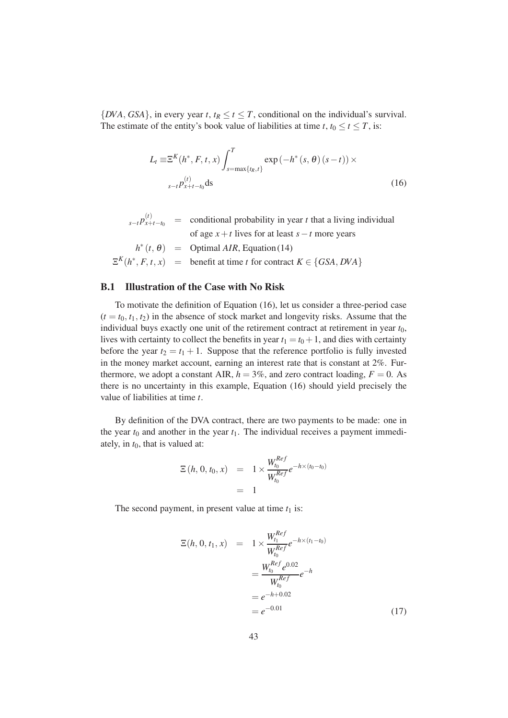$\{DVA, GSA\}$ , in every year *t*,  $t_R \le t \le T$ , conditional on the individual's survival. The estimate of the entity's book value of liabilities at time *t*,  $t_0 \le t \le T$ , is:

<span id="page-46-0"></span>
$$
L_{t} \equiv \Xi^{K}(h^{*}, F, t, x) \int_{s=\max\{t_{R}, t\}}^{T} \exp(-h^{*}(s, \theta)(s-t)) \times
$$
  

$$
s-t P_{x+t-t_{0}}^{(t)} ds
$$
 (16)

 $\sum_{s-t} p_{x+t-t_0}^{(t)}$  = conditional probability in year *t* that a living individual of age *x*+*t* lives for at least *s*−*t* more years  $h^*(t, \theta)$  = Optimal *AIR*, Equation [\(14\)](#page-44-1)  $E^K(h^*, F, t, x)$  = benefit at time *t* for contract  $K \in \{GSA, DVA\}$ 

#### B.1 Illustration of the Case with No Risk

To motivate the definition of Equation [\(16\)](#page-46-0), let us consider a three-period case  $(t = t_0, t_1, t_2)$  in the absence of stock market and longevity risks. Assume that the individual buys exactly one unit of the retirement contract at retirement in year  $t_0$ , lives with certainty to collect the benefits in year  $t_1 = t_0 + 1$ , and dies with certainty before the year  $t_2 = t_1 + 1$ . Suppose that the reference portfolio is fully invested in the money market account, earning an interest rate that is constant at 2%. Furthermore, we adopt a constant AIR,  $h = 3\%$ , and zero contract loading,  $F = 0$ . As there is no uncertainty in this example, Equation [\(16\)](#page-46-0) should yield precisely the value of liabilities at time *t*.

By definition of the DVA contract, there are two payments to be made: one in the year  $t_0$  and another in the year  $t_1$ . The individual receives a payment immediately, in  $t_0$ , that is valued at:

$$
\begin{array}{rcl}\n\Xi\left(h, 0, t_0, x\right) & = & 1 \times \frac{W_{t_0}^{Ref}}{W_{t_0}^{Ref}} e^{-h \times (t_0 - t_0)} \\
& = & 1\n\end{array}
$$

The second payment, in present value at time  $t_1$  is:

<span id="page-46-1"></span>
$$
\mathbb{E}(h, 0, t_1, x) = 1 \times \frac{W_{t_1}^{Ref}}{W_{t_0}^{Ref}} e^{-h \times (t_1 - t_0)} \n= \frac{W_{t_0}^{Ref} e^{0.02}}{W_{t_0}^{Ref}} e^{-h} \n= e^{-h + 0.02} \n= e^{-0.01}
$$
\n(17)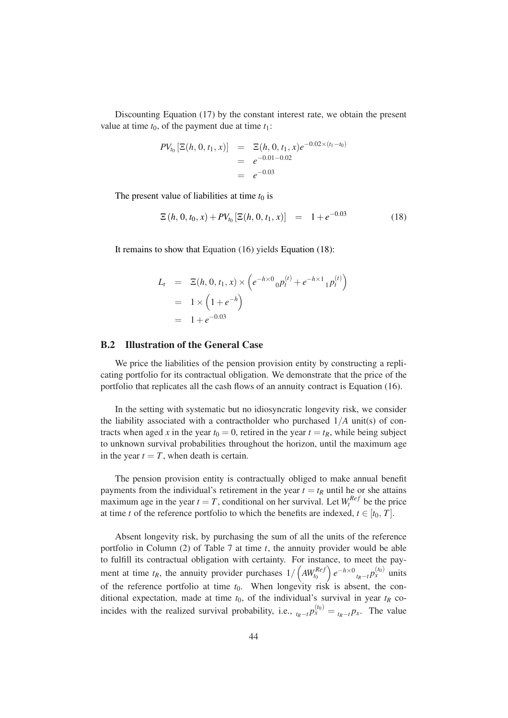Discounting Equation [\(17\)](#page-46-1) by the constant interest rate, we obtain the present value at time  $t_0$ , of the payment due at time  $t_1$ :

$$
PV_{t_0} \left[\Xi(h, 0, t_1, x)\right] = \Xi(h, 0, t_1, x)e^{-0.02 \times (t_1 - t_0)}
$$
  
=  $e^{-0.01 - 0.02}$   
=  $e^{-0.03}$ 

The present value of liabilities at time  $t_0$  is

<span id="page-47-0"></span>
$$
\mathbb{E}\left(h,0,t_0,x\right) + PV_{t_0}\left[\mathbb{E}(h,0,t_1,x)\right] = 1 + e^{-0.03} \tag{18}
$$

It remains to show that Equation [\(16\)](#page-46-0) yields Equation [\(18\)](#page-47-0):

$$
L_t = \Xi(h, 0, t_1, x) \times \left( e^{-h \times 0} {}_0 p_t^{(t)} + e^{-h \times 1} {}_1 p_t^{(t)} \right)
$$
  
=  $1 \times \left( 1 + e^{-h} \right)$   
=  $1 + e^{-0.03}$ 

#### B.2 Illustration of the General Case

We price the liabilities of the pension provision entity by constructing a replicating portfolio for its contractual obligation. We demonstrate that the price of the portfolio that replicates all the cash flows of an annuity contract is Equation [\(16\)](#page-46-0).

In the setting with systematic but no idiosyncratic longevity risk, we consider the liability associated with a contractholder who purchased  $1/A$  unit(s) of contracts when aged *x* in the year  $t_0 = 0$ , retired in the year  $t = t_R$ , while being subject to unknown survival probabilities throughout the horizon, until the maximum age in the year  $t = T$ , when death is certain.

The pension provision entity is contractually obliged to make annual benefit payments from the individual's retirement in the year  $t = t_R$  until he or she attains maximum age in the year  $t = T$ , conditional on her survival. Let  $W_t^{Ref}$  be the price at time *t* of the reference portfolio to which the benefits are indexed,  $t \in [t_0, T]$ .

Absent longevity risk, by purchasing the sum of all the units of the reference portfolio in Column (2) of Table [7](#page-48-0) at time *t*, the annuity provider would be able to fulfill its contractual obligation with certainty. For instance, to meet the payment at time  $t_R$ , the annuity provider purchases  $1/\left(AW_{t_0}^{Ref}\right)$  $\int e^{-h \times 0} t_R - t P_x^{(t_0)}$  units of the reference portfolio at time  $t_0$ . When longevity risk is absent, the conditional expectation, made at time  $t_0$ , of the individual's survival in year  $t_R$  coincides with the realized survival probability, i.e.,  $t_R - t p_x^{(t_0)} = t_R - t p_x$ . The value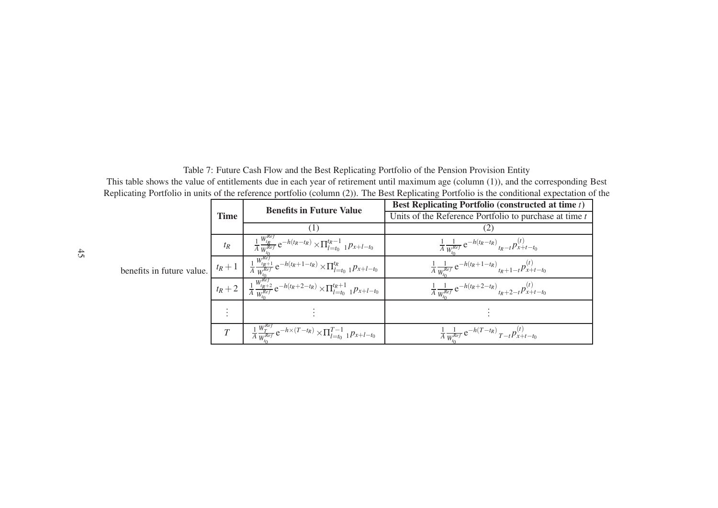Table 7: Future Cash Flow and the Best Replicating Portfolio of the Pension Provision Entity This table shows the value of entitlements due in each year of retirement until maximum age (column (1)), and the corresponding Best Replicating Portfolio in units of the reference portfolio (column (2)). The Best Replicating Portfolio is the conditional expectation of the

<span id="page-48-0"></span>

|                           |             | <b>Benefits in Future Value</b>                                                                                             | <b>Best Replicating Portfolio (constructed at time t)</b>                           |  |
|---------------------------|-------------|-----------------------------------------------------------------------------------------------------------------------------|-------------------------------------------------------------------------------------|--|
|                           | <b>Time</b> |                                                                                                                             | Units of the Reference Portfolio to purchase at time $t$                            |  |
| benefits in future value. |             |                                                                                                                             |                                                                                     |  |
|                           | $t_R$       | $\frac{1}{A}\frac{W_{t_R}^{Ref}}{W_{t_R}^{Ref}}e^{-h(t_R-t_R)} \times \prod_{l=t_0}^{t_R-1} {}_{1}p_{x+l-t_0}$              | $\frac{1}{A} \frac{1}{W_{k}^{Ref}} e^{-h(t_R - t_R)} t_R - t P_{k+t-t_0}^{(t)}$     |  |
|                           |             | $\boxed{t_R+1}$ $\frac{1}{A}\frac{W^{ke_f}_{l_R+1}}{w^{Ref}}e^{-h(t_R+1-t_R)} \times \prod_{l=t_0}^{t_R} (1)^{p_{x+l-t_0}}$ | $\frac{1}{A} \frac{1}{W_{k}^{Ref}} e^{-h(t_R+1-t_R)} t_R + 1 - t P_{k+t-t_0}^{(t)}$ |  |
|                           |             | $\boxed{t_R+2}$ $\frac{1}{A} \frac{W_{t_R+2}^{Kef}}{w^{Ref}} e^{-h(t_R+2-t_R)} \times \prod_{l=t_0}^{t_R+1} 1_{l_x+l-t_0}$  | $\frac{1}{A} \frac{1}{W_{k}^{Ref}} e^{-h(t_R+2-t_R)} t_R + 2 - t P_{k+t-t_0}^{(t)}$ |  |
|                           |             |                                                                                                                             |                                                                                     |  |
|                           |             | $\frac{1}{A} \frac{W_T^{Ref}}{W_T^{Ref}} e^{-h \times (T-t_R)} \times \prod_{l=t_0}^{T-1} 1 p_{x+l-t_0}$                    | $\frac{1}{A} \frac{1}{W_{t_0}^{Ref}} e^{-h(T-t_R)} T - t P_{x+t-t_0}^{(t)}$         |  |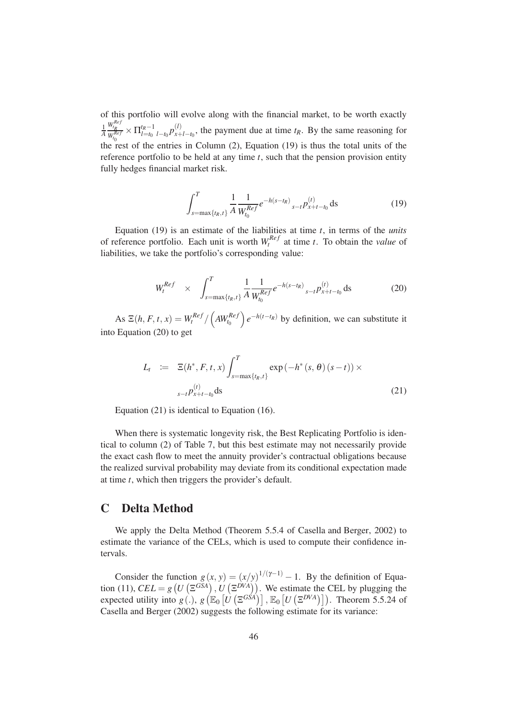of this portfolio will evolve along with the financial market, to be worth exactly 1 *A*  $W_{t_R}^{Ref}$  $W_{t_0}^{Ref}$  $\times \prod_{l=t_0}^{t_R-1}$  $\sum_{l=t_0}^{t_R-1}$  *l*−*t*<sub>0</sub>  $p_{x+}^{(l)}$  $\chi^{(t)}_{x+l-t_0}$ , the payment due at time  $t_R$ . By the same reasoning for the rest of the entries in Column (2), Equation [\(19\)](#page-49-1) is thus the total units of the reference portfolio to be held at any time *t*, such that the pension provision entity fully hedges financial market risk.

<span id="page-49-1"></span>
$$
\int_{s=\max\{t_R,t\}}^T \frac{1}{A} \frac{1}{W_{t_0}^{Ref}} e^{-h(s-t_R)} \,_{s-t} p_{x+t-t_0}^{(t)} \, \mathrm{d}s \tag{19}
$$

Equation [\(19\)](#page-49-1) is an estimate of the liabilities at time *t*, in terms of the *units* of reference portfolio. Each unit is worth  $W_t^{Ref}$  at time *t*. To obtain the *value* of liabilities, we take the portfolio's corresponding value:

<span id="page-49-2"></span>
$$
W_t^{Ref} \times \int_{s=\max\{t_R, t\}}^T \frac{1}{A} \frac{1}{W_{t_0}^{Ref}} e^{-h(s-t_R)} \,_{s-t} p_{x+t-t_0}^{(t)} \, \text{d}s \tag{20}
$$

 $\text{As } E(h, F, t, x) = W_t^{Ref} / \left(AW_{t_0}^{Ref}\right)$  $\int e^{-h(t-t_R)}$  by definition, we can substitute it into Equation [\(20\)](#page-49-2) to get

<span id="page-49-3"></span>
$$
L_t := \mathbb{E}(h^*, F, t, x) \int_{s=\max\{t_R, t\}}^T \exp(-h^*(s, \theta)(s-t)) \times
$$
  

$$
s-t P_{x+t-t_0}^{(t)} ds
$$
 (21)

Equation [\(21\)](#page-49-3) is identical to Equation [\(16\)](#page-46-0).

When there is systematic longevity risk, the Best Replicating Portfolio is identical to column (2) of Table [7,](#page-48-0) but this best estimate may not necessarily provide the exact cash flow to meet the annuity provider's contractual obligations because the realized survival probability may deviate from its conditional expectation made at time *t*, which then triggers the provider's default.

# <span id="page-49-0"></span>C Delta Method

We apply the Delta Method (Theorem 5.5.4 of [Casella and Berger, 2002](#page-38-13)) to estimate the variance of the CELs, which is used to compute their confidence intervals.

Consider the function  $g(x, y) = (x/y)^{1/(\gamma-1)} - 1$ . By the definition of Equa-tion [\(11\)](#page-22-0),  $CEL = g(U(\Xi^{GSA}), U(\Xi^{DVA}))$ . We estimate the CEL by plugging the expected utility into  $g(.)$ ,  $g(E_0[U(\Xi^{G\acute{S}A})], E_0[U(\Xi^{DVA})])$ . Theorem 5.5.24 of [Casella and Berger \(2002\)](#page-38-13) suggests the following estimate for its variance: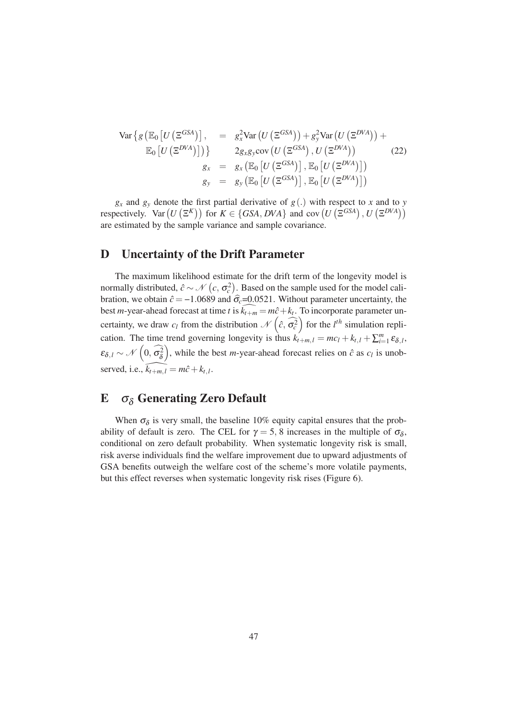$$
\operatorname{Var}\left\{g\left(\mathbb{E}_{0}\left[U\left(\Xi^{GSA}\right)\right],\right.\right.\right. = g_{x}^{2}\operatorname{Var}\left(U\left(\Xi^{GSA}\right)\right) + g_{y}^{2}\operatorname{Var}\left(U\left(\Xi^{DVA}\right)\right) + \operatorname{E}_{0}\left[U\left(\Xi^{DVA}\right)\right]\right)\right\} \qquad 2g_{x}g_{y}\operatorname{cov}\left(U\left(\Xi^{GSA}\right), U\left(\Xi^{DVA}\right)\right) \qquad (22)
$$
\n
$$
g_{x} = g_{x}\left(\mathbb{E}_{0}\left[U\left(\Xi^{GSA}\right)\right], \mathbb{E}_{0}\left[U\left(\Xi^{DVA}\right)\right]\right)
$$
\n
$$
g_{y} = g_{y}\left(\mathbb{E}_{0}\left[U\left(\Xi^{GSA}\right)\right], \mathbb{E}_{0}\left[U\left(\Xi^{DVA}\right)\right]\right)
$$

 $g_x$  and  $g_y$  denote the first partial derivative of  $g(.)$  with respect to *x* and to *y* respectively. Var  $(U(\Xi^K))$  for  $K \in \{GSA, DVA\}$  and cov  $(U(\Xi^{GSA}), U(\Xi^{DVA}))$ are estimated by the sample variance and sample covariance.

# <span id="page-50-1"></span>D Uncertainty of the Drift Parameter

The maximum likelihood estimate for the drift term of the longevity model is normally distributed,  $\hat{c} \sim \mathcal{N}(c, \sigma_c^2)$ . Based on the sample used for the model calibration, we obtain  $\hat{c} = -1.0689$  and  $\hat{\sigma}_c = 0.0521$ . Without parameter uncertainty, the best *m*-year-ahead forecast at time *t* is  $k_{t+m} = m\hat{c} + k_t$ . To incorporate parameter uncertainty, we draw  $c_l$  from the distribution  $\mathcal{N}\left(\hat{c}, \hat{\sigma}_c^2\right)$  for the *l*<sup>th</sup> simulation replication. The time trend governing longevity is thus  $k'_{t+m,l} = mc_l + k_{t,l} + \sum_{i=1}^{m} \varepsilon_{\delta,l}$ ,  $\varepsilon_{\delta,l} \sim \mathcal{N}\left(0, \widehat{\sigma_{\delta}^2}\right)$ , while the best *m*-year-ahead forecast relies on  $\hat{c}$  as  $c_l$  is unobserved, i.e.,  $\widehat{k_{t+m, l}} = m\hat{c} + k_{t, l}$ .

# <span id="page-50-0"></span>E  $\sigma_{\delta}$  Generating Zero Default

When  $\sigma_{\delta}$  is very small, the baseline 10% equity capital ensures that the probability of default is zero. The CEL for  $\gamma = 5, 8$  increases in the multiple of  $\sigma_{\delta}$ , conditional on zero default probability. When systematic longevity risk is small, risk averse individuals find the welfare improvement due to upward adjustments of GSA benefits outweigh the welfare cost of the scheme's more volatile payments, but this effect reverses when systematic longevity risk rises (Figure [6\)](#page-30-0).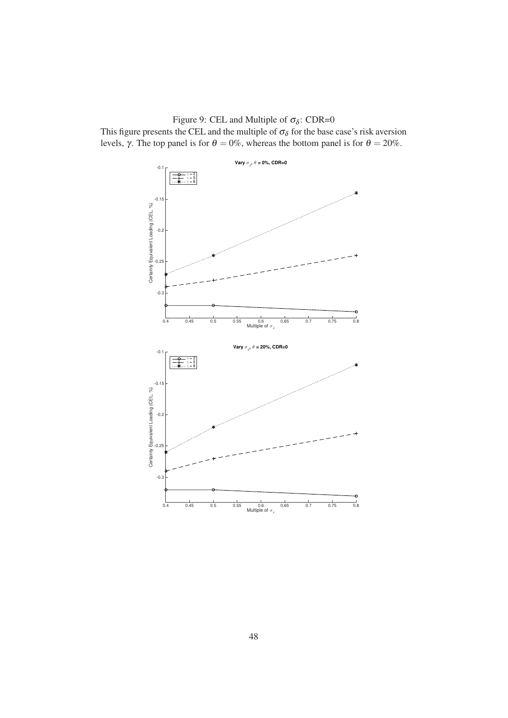Figure 9: CEL and Multiple of  $\sigma_{\delta}$ : CDR=0

This figure presents the CEL and the multiple of  $\sigma_{\delta}$  for the base case's risk aversion levels, γ. The top panel is for  $\theta = 0\%$ , whereas the bottom panel is for  $\theta = 20\%$ .

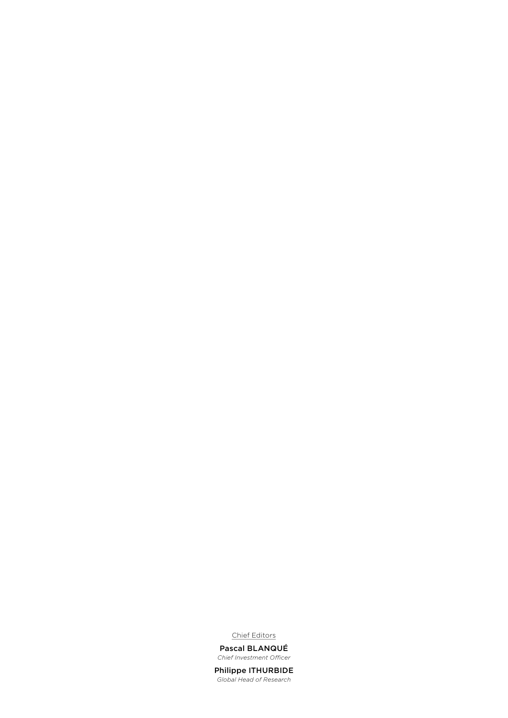Chief Editors

Pascal BLANQUÉ *Chief Investment Officer*

Philippe ITHURBIDE *Global Head of Research*